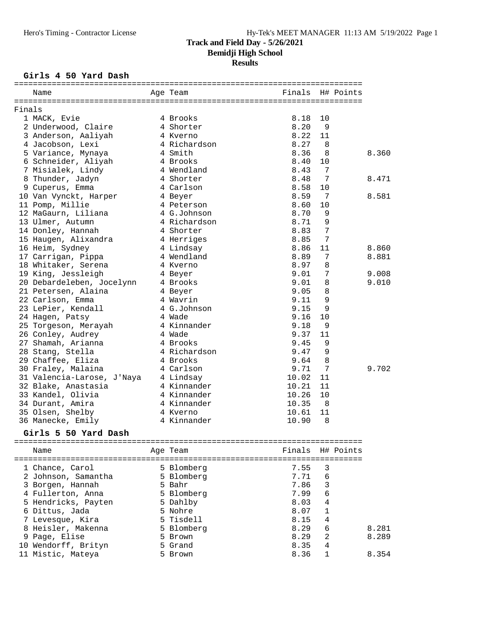#### Girls 4 50 Yard Dash

|        | Name                                 | Age Team     | Finals H# Points |                |           |       |
|--------|--------------------------------------|--------------|------------------|----------------|-----------|-------|
| Finals |                                      |              |                  |                |           |       |
|        | 1 MACK, Evie                         | 4 Brooks     | 8.18             | 10             |           |       |
|        | 2 Underwood, Claire                  | 4 Shorter    | 8.20             | - 9            |           |       |
|        | 3 Anderson, Aaliyah                  | 4 Kverno     | 8.22             | 11             |           |       |
|        | 4 Jacobson, Lexi                     | 4 Richardson | 8.27             | 8              |           |       |
|        | 5 Variance, Mynaya                   | 4 Smith      | 8.36             | 8              |           | 8.360 |
|        | 6 Schneider, Aliyah                  | 4 Brooks     | 8.40             | 10             |           |       |
|        | 7 Misialek, Lindy                    | 4 Wendland   | 8.43             | 7              |           |       |
|        | 8 Thunder, Jadyn                     | 4 Shorter    | 8.48             | 7              |           | 8.471 |
|        | 9 Cuperus, Emma                      | 4 Carlson    | 8.58             | 10             |           |       |
|        | 10 Van Vynckt, Harper 4 Beyer        |              | 8.59             | 7              |           | 8.581 |
|        | 11 Pomp, Millie                      | 4 Peterson   | 8.60             | 10             |           |       |
|        | 12 MaGaurn, Liliana                  | 4 G.Johnson  | 8.70             | 9              |           |       |
|        | 13 Ulmer, Autumn                     | 4 Richardson | 8.71             | 9              |           |       |
|        | 14 Donley, Hannah                    | 4 Shorter    | 8.83             | 7              |           |       |
|        | 15 Haugen, Alixandra 14 Herriges     |              | 8.85             | 7              |           |       |
|        | 16 Heim, Sydney                      | 4 Lindsay    | 8.86             | 11             |           | 8.860 |
|        | 17 Carrigan, Pippa                   | 4 Wendland   | 8.89             | 7              |           | 8.881 |
|        | 18 Whitaker, Serena                  | 4 Kverno     | 8.97             | 8              |           |       |
|        | 19 King, Jessleigh                   | 4 Beyer      | 9.01             | 7              |           | 9.008 |
|        | 20 Debardeleben, Jocelynn 4 Brooks   |              | 9.01             | 8              |           | 9.010 |
|        | 21 Petersen, Alaina                  | 4 Beyer      | 9.05             | 8              |           |       |
|        | 22 Carlson, Emma                     | 4 Wavrin     | 9.11             | 9              |           |       |
|        | 23 LePier, Kendall                   | 4 G.Johnson  | 9.15             | 9              |           |       |
|        | 24 Hagen, Patsy                      | 4 Wade       | 9.16             | 10             |           |       |
|        | 25 Torgeson, Merayah                 | 4 Kinnander  | 9.18             | 9              |           |       |
|        | 26 Conley, Audrey                    | 4 Wade       | 9.37             | 11             |           |       |
|        | 27 Shamah, Arianna                   | 4 Brooks     | 9.45             | 9              |           |       |
|        | 28 Stang, Stella                     | 4 Richardson | 9.47             | 9              |           |       |
|        | 29 Chaffee, Eliza                    | 4 Brooks     | 9.64             | 8              |           |       |
|        | 30 Fraley, Malaina                   | 4 Carlson    | 9.71             | 7              |           | 9.702 |
|        | 31 Valencia-Larose, J'Naya 4 Lindsay |              | 10.02            | 11             |           |       |
|        | 32 Blake, Anastasia                  | 4 Kinnander  | 10.21            | 11             |           |       |
|        | 33 Kandel, Olivia                    | 4 Kinnander  | 10.26            | 10             |           |       |
|        | 34 Durant, Amira                     | 4 Kinnander  | 10.35            | - 8            |           |       |
|        | 35 Olsen, Shelby                     | 4 Kverno     | 10.61            | 11             |           |       |
|        | 36 Manecke, Emily                    | 4 Kinnander  | 10.90            | 8              |           |       |
|        | Girls 5 50 Yard Dash                 |              |                  |                |           |       |
|        |                                      |              |                  |                |           |       |
|        | Name                                 | Age Team     | Finals           |                | H# Points |       |
|        | 1 Chance, Carol                      | 5 Blomberg   | 7.55             | 3              |           |       |
|        | 2 Johnson, Samantha                  | 5 Blomberg   | 7.71             | 6              |           |       |
|        | 3 Borgen, Hannah                     | 5 Bahr       | 7.86             | 3              |           |       |
|        | 4 Fullerton, Anna                    | 5 Blomberg   | 7.99             | 6              |           |       |
|        | 5 Hendricks, Payten                  | 5 Dahlby     | 8.03             | 4              |           |       |
|        | 6 Dittus, Jada                       | 5 Nohre      | 8.07             | 1              |           |       |
|        | 7 Levesque, Kira                     | 5 Tisdell    | 8.15             | $\overline{4}$ |           |       |
|        | 8 Heisler, Makenna                   | 5 Blomberg   | 8.29             | 6              |           | 8.281 |
|        | 9 Page, Elise                        | 5 Brown      | 8.29             | 2              |           | 8.289 |
|        | 10 Wendorff, Brityn                  | 5 Grand      | 8.35             | 4              |           |       |
|        | 11 Mistic, Mateya                    | 5 Brown      | 8.36             | $\mathbf 1$    |           | 8.354 |
|        |                                      |              |                  |                |           |       |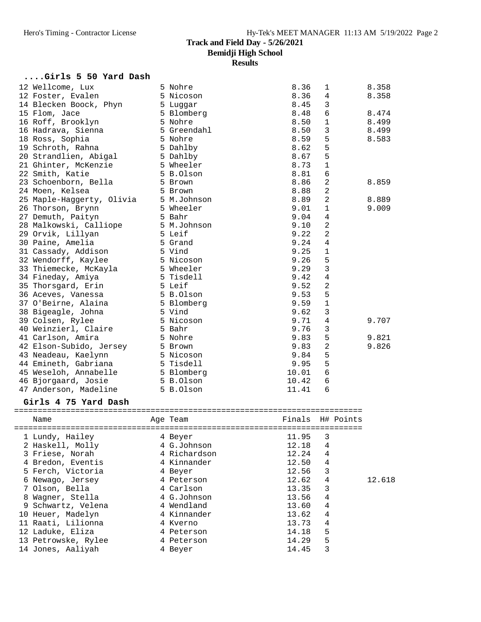#### **....Girls 5 50 Yard Dash**

| 12 Wellcome, Lux                              | 5 Nohre                                         | 8.36  | 1            | 8.358 |
|-----------------------------------------------|-------------------------------------------------|-------|--------------|-------|
| 12 Foster, Evalen                             | 5 Nicoson                                       | 8.36  | 4            | 8.358 |
| 14 Blecken Boock, Phyn 5 Luggar               |                                                 | 8.45  | 3            |       |
| 15 Flom, Jace                                 | 5 Blomberg                                      | 8.48  | 6            | 8.474 |
| 16 Roff, Brooklyn                             | 5 Nohre                                         | 8.50  | 1            | 8.499 |
| 16 Hadrava, Sienna               5 Greendahl  |                                                 | 8.50  | 3            | 8.499 |
| 18 Ross, Sophia                               | 5 Nohre                                         | 8.59  | 5            | 8.583 |
| 19 Schroth, Rahna<br>and the Summer of Dahlby |                                                 | 8.62  | 5            |       |
| 20 Strandlien, Abigal 5 Dahlby                |                                                 | 8.67  | 5            |       |
| 21 Ghinter, McKenzie                          | 5 Wheeler                                       | 8.73  | 1            |       |
| 22 Smith, Katie                               | 5 B.Olson                                       | 8.81  | 6            |       |
| 23 Schoenborn, Bella                          | 5 Brown                                         | 8.86  | 2            | 8.859 |
| 24 Moen, Kelsea                               | 5 Brown                                         | 8.88  | 2            |       |
| 25 Maple-Haggerty, Olivia 5 M.Johnson         |                                                 | 8.89  | 2            | 8.889 |
| 26 Thorson, Brynn                             | 5 Wheeler                                       | 9.01  | 1            | 9.009 |
| 27 Demuth, Paityn                             | 5 Bahr                                          | 9.04  | 4            |       |
| 28 Malkowski, Calliope 5 M.Johnson            |                                                 | 9.10  | 2            |       |
| 5 Leif<br>29 Orvik, Lillyan                   |                                                 | 9.22  | 2            |       |
| 30 Paine, Amelia                              | 5 Grand                                         | 9.24  | 4            |       |
| 31 Cassady, Addison 5 Vind                    |                                                 | 9.25  | 1            |       |
| 32 Wendorff, Kaylee 5 Nicoson                 |                                                 | 9.26  | 5            |       |
| 33 Thiemecke, McKayla 5 Wheeler               |                                                 | 9.29  | 3            |       |
| 34 Fineday, Amiya <sup>7</sup> 5 Tisdell      |                                                 | 9.42  | 4            |       |
| 35 Thorsgard, Erin<br>36 Aceves, Vanessa      |                                                 | 9.52  | 2            |       |
|                                               |                                                 | 9.53  | 5            |       |
| 37 O'Beirne, Alaina                           | 5 Leif<br>5 B.Olson<br>5 Blomberg<br>5 Blomberg | 9.59  | $\mathbf{1}$ |       |
| 38 Bigeagle, Johna                            | 5 Vind                                          | 9.62  | 3            |       |
| 39 Colsen, Rylee                              | 5 Nicoson                                       | 9.71  | 4            | 9.707 |
| 40 Weinzierl, Claire                          | 5 Bahr                                          | 9.76  | 3            |       |
| 41 Carlson, Amira                             | 5 Nohre                                         | 9.83  | 5            | 9.821 |
| 42 Elson-Subido, Jersey 5 Brown               |                                                 | 9.83  | 2            | 9.826 |
| 43 Neadeau, Kaelynn                           | 5 Nicoson                                       | 9.84  | 5            |       |
| 44 Emineth, Gabriana 5 Tisdell                |                                                 | 9.95  | 5            |       |
| 45 Weseloh, Annabelle 5 Blomberg              |                                                 | 10.01 | 6            |       |
| 46 Bjorgaard, Josie                           | 5 B.Olson                                       | 10.42 | 6            |       |
| 47 Anderson, Madeline                         | 5 B.Olson                                       | 11.41 | 6            |       |

### **Girls 4 75 Yard Dash**

| Name                | Age Team     |       | Finals H# Points |
|---------------------|--------------|-------|------------------|
|                     |              |       |                  |
| 1 Lundy, Hailey     | 4 Beyer      | 11.95 | 3                |
| 2 Haskell, Molly    | 4 G.Johnson  | 12.18 | 4                |
| 3 Friese, Norah     | 4 Richardson | 12.24 | 4                |
| 4 Bredon, Eventis   | 4 Kinnander  | 12.50 | 4                |
| 5 Ferch, Victoria   | 4 Beyer      | 12.56 | 3                |
| 6 Newago, Jersey    | 4 Peterson   | 12.62 | $\overline{4}$   |
| 7 Olson, Bella      | 4 Carlson    | 13.35 | 3                |
| 8 Wagner, Stella    | 4 G.Johnson  | 13.56 | 4                |
| 9 Schwartz, Velena  | 4 Wendland   | 13.60 | 4                |
| 10 Heuer, Madelyn   | 4 Kinnander  | 13.62 | 4                |
| 11 Raati, Lilionna  | 4 Kverno     | 13.73 | 4                |
| 12 Laduke, Eliza    | 4 Peterson   | 14.18 | 5                |
| 13 Petrowske, Rylee | 4 Peterson   | 14.29 | 5                |
| 14 Jones, Aaliyah   | 4 Beyer      | 14.45 | 3                |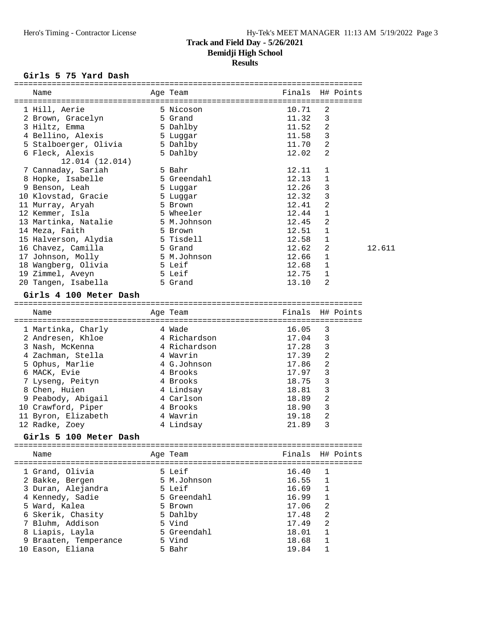### Girls 5 75 Yard Dash

| Name                                      | Age Team         | Finals         | H# Points         |        |
|-------------------------------------------|------------------|----------------|-------------------|--------|
|                                           |                  |                |                   |        |
| 1 Hill, Aerie                             | 5 Nicoson        | 10.71          | 2                 |        |
| 2 Brown, Gracelyn                         | 5 Grand          | 11.32          | 3                 |        |
| 3 Hiltz, Emma                             | 5 Dahlby         | 11.52          | $\overline{2}$    |        |
| 4 Bellino, Alexis                         | 5 Luqqar         | 11.58          | 3                 |        |
| 5 Stalboerger, Olivia                     | 5 Dahlby         | 11.70          | 2                 |        |
| 6 Fleck, Alexis                           | 5 Dahlby         | 12.02          | 2                 |        |
| 12.014 (12.014)                           |                  |                |                   |        |
| 7 Cannaday, Sariah                        | 5 Bahr           | 12.11          | $\mathbf 1$       |        |
| 8 Hopke, Isabelle                         | 5 Greendahl      | 12.13          | 1                 |        |
| 9 Benson, Leah                            | 5 Luggar         | 12.26          | 3                 |        |
| 10 Klovstad, Gracie                       | 5 Luggar         | 12.32          | 3                 |        |
| 11 Murray, Aryah                          | 5 Brown          | 12.41          | $\overline{a}$    |        |
| 12 Kemmer, Isla                           | 5 Wheeler        | 12.44          | $\mathbf{1}$      |        |
| 13 Martinka, Natalie                      | 5 M.Johnson      | 12.45          | 2                 |        |
| 14 Meza, Faith                            | 5 Brown          | 12.51          | 1                 |        |
| 15 Halverson, Alydia                      | 5 Tisdell        | 12.58          | 1                 |        |
| 16 Chavez, Camilla                        | 5 Grand          | 12.62          | 2                 | 12.611 |
| 17 Johnson, Molly                         | 5 M.Johnson      | 12.66          | 1                 |        |
| 18 Wangberg, Olivia                       | 5 Leif           | 12.68          | $\mathbf{1}$      |        |
| 19 Zimmel, Aveyn                          | 5 Leif           | 12.75          | $\mathbf{1}$      |        |
| 20 Tangen, Isabella                       | 5 Grand          | 13.10          | 2                 |        |
|                                           |                  |                |                   |        |
| Girls 4 100 Meter Dash                    |                  |                |                   |        |
|                                           |                  |                |                   |        |
| Name                                      | Age Team         | Finals         | H# Points         |        |
|                                           |                  |                |                   |        |
| 1 Martinka, Charly                        | 4 Wade           | 16.05          | 3                 |        |
| 2 Andresen, Khloe                         | 4 Richardson     | 17.04          | 3                 |        |
| 3 Nash, McKenna                           | 4 Richardson     | 17.28          | 3                 |        |
| 4 Zachman, Stella                         | 4 Wavrin         | 17.39          | 2                 |        |
| 5 Ophus, Marlie                           | 4 G.Johnson      | 17.86          | $\overline{a}$    |        |
| 6 MACK, Evie                              | 4 Brooks         | 17.97          | 3                 |        |
| 7 Lyseng, Peityn                          | 4 Brooks         | 18.75          | 3                 |        |
| 8 Chen, Huien                             | 4 Lindsay        | 18.81          | 3                 |        |
| 9 Peabody, Abigail                        | 4 Carlson        | 18.89          | 2                 |        |
| 10 Crawford, Piper                        | 4 Brooks         | 18.90          | 3                 |        |
| 11 Byron, Elizabeth                       | 4 Wavrin         | 19.18          | 2                 |        |
| 12 Radke, Zoey                            | 4 Lindsay        | 21.89          | 3                 |        |
|                                           |                  |                |                   |        |
| Girls 5 100 Meter Dash                    |                  |                |                   |        |
|                                           |                  |                |                   |        |
| Name                                      | Age Team         | Finals         | H# Points         |        |
|                                           |                  |                |                   |        |
| 1 Grand, Olivia                           | 5 Leif           | 16.40          | 1                 |        |
| 2 Bakke, Bergen                           | 5 M.Johnson      | 16.55          | 1                 |        |
| 3 Duran, Alejandra                        | 5 Leif           | 16.69          | 1                 |        |
| 4 Kennedy, Sadie                          | 5 Greendahl      | 16.99          | 1                 |        |
| 5 Ward, Kalea                             | 5 Brown          | 17.06          | 2                 |        |
| 6 Skerik, Chasity                         | 5 Dahlby         | 17.48          | 2                 |        |
| 7 Bluhm, Addison                          | 5 Vind           | 17.49          | 2                 |        |
| 8 Liapis, Layla                           | 5 Greendahl      | 18.01          | 1                 |        |
| 9 Braaten, Temperance<br>10 Eason, Eliana | 5 Vind<br>5 Bahr | 18.68<br>19.84 | 1<br>$\mathbf{1}$ |        |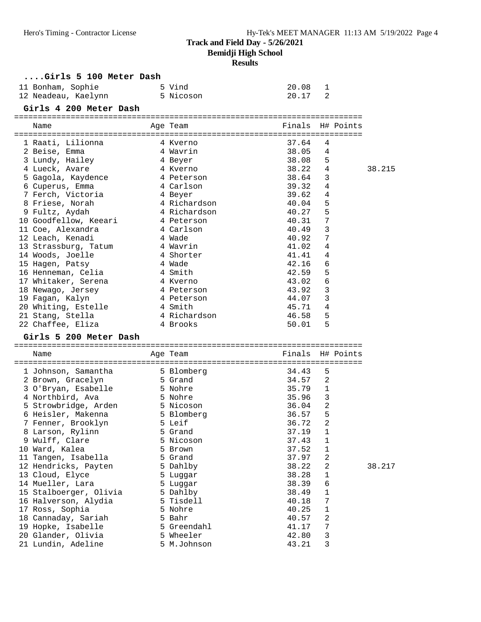# **Results**

| Girls 5 100 Meter Dash                   |                    |                |                  |        |
|------------------------------------------|--------------------|----------------|------------------|--------|
| 11 Bonham, Sophie                        | 5 Vind             | 20.08          | 1                |        |
| 12 Neadeau, Kaelynn 12 5 Nicoson         |                    | 20.17          | 2                |        |
| Girls 4 200 Meter Dash                   |                    |                |                  |        |
|                                          |                    |                |                  |        |
| Name                                     | Age Team           |                | Finals H# Points |        |
|                                          |                    |                |                  |        |
| 1 Raati, Lilionna                        | 4 Kverno           | 37.64          | 4                |        |
| 2 Beise, Emma                            | 4 Wavrin           | 38.05          | 4                |        |
| 3 Lundy, Hailey                          | 4 Beyer            | 38.08          | 5                |        |
| 4 Lueck, Avare                           | 4 Kverno           | 38.22          | 4                | 38.215 |
| 5 Gagola, Kaydence                       | 4 Peterson         | 38.64          | 3                |        |
| 6 Cuperus, Emma                          | 4 Carlson          | 39.32          | 4                |        |
| 7 Ferch, Victoria                        | 4 Beyer            | 39.62          | 4                |        |
| 8 Friese, Norah                          | 4 Richardson       | 40.04          | 5                |        |
| 9 Fultz, Aydah                           | 4 Richardson       | 40.27          | 5                |        |
| 10 Goodfellow, Keeari                    | 4 Peterson         | 40.31          | 7                |        |
| 11 Coe, Alexandra<br>12 Leach, Kenadi    | 4 Carlson          | 40.49          | 3<br>7           |        |
|                                          | 4 Wade<br>4 Wavrin | 40.92<br>41.02 | 4                |        |
| 13 Strassburg, Tatum<br>14 Woods, Joelle | 4 Shorter          | 41.41          | 4                |        |
| 15 Hagen, Patsy                          | 4 Wade             | 42.16          | 6                |        |
| 16 Henneman, Celia                       | 4 Smith            | 42.59          | 5                |        |
| 17 Whitaker, Serena                      | 4 Kverno           | 43.02          | 6                |        |
| 18 Newago, Jersey                        | 4 Peterson         | 43.92          | 3                |        |
| 19 Fagan, Kalyn                          | 4 Peterson         | 44.07          | 3                |        |
| 20 Whiting, Estelle 4 Smith              |                    | 45.71          | 4                |        |
| 21 Stang, Stella                         | 4 Richardson       | 46.58          | 5                |        |
| 22 Chaffee, Eliza<br>4 Brooks            |                    | 50.01          | 5                |        |
| Girls 5 200 Meter Dash                   |                    |                |                  |        |
|                                          |                    |                |                  |        |
| Name                                     | Age Team           | Finals         | H# Points        |        |
|                                          |                    |                |                  |        |
| 1 Johnson, Samantha                      | 5 Blomberg         | 34.43          | 5                |        |
| 2 Brown, Gracelyn                        | 5 Grand            | 34.57          | 2                |        |
| 3 O'Bryan, Esabelle                      | 5 Nohre            | 35.79          | 1                |        |
| 4 Northbird, Ava                         | 5 Nohre            | 35.96          | 3                |        |
| 5 Strowbridge, Arden 5 Nicoson           | 5 Blomberg         | 36.04<br>36.57 | 2<br>5           |        |
| 6 Heisler, Makenna<br>7 Fenner, Brooklyn | 5 Leif             | 36.72          | $\overline{2}$   |        |
| 8 Larson, Rylinn                         | 5 Grand            | 37.19          | $\mathbf{1}$     |        |
| 9 Wulff, Clare                           | 5 Nicoson          | 37.43          | $\mathbf{1}$     |        |
| 10 Ward, Kalea                           | 5 Brown            | 37.52          | $\mathbf 1$      |        |
| 11 Tangen, Isabella                      | 5 Grand            | 37.97          | 2                |        |
| 12 Hendricks, Payten                     | 5 Dahlby           | 38.22          | 2                | 38.217 |
| 13 Cloud, Elyce                          | 5 Luggar           | 38.28          | 1                |        |
| 14 Mueller, Lara                         | 5 Luggar           | 38.39          | 6                |        |
| 15 Stalboerger, Olivia                   | 5 Dahlby           | 38.49          | $1\,$            |        |
| 16 Halverson, Alydia                     | 5 Tisdell          | 40.18          | 7                |        |
| 17 Ross, Sophia                          | 5 Nohre            | 40.25          | 1                |        |
| 18 Cannaday, Sariah                      | 5 Bahr             | 40.57          | 2                |        |
| 19 Hopke, Isabelle                       | 5 Greendahl        | 41.17          | 7                |        |
|                                          |                    |                |                  |        |
| 20 Glander, Olivia                       | 5 Wheeler          | 42.80          | 3                |        |
| 21 Lundin, Adeline                       | 5 M.Johnson        | 43.21          | 3                |        |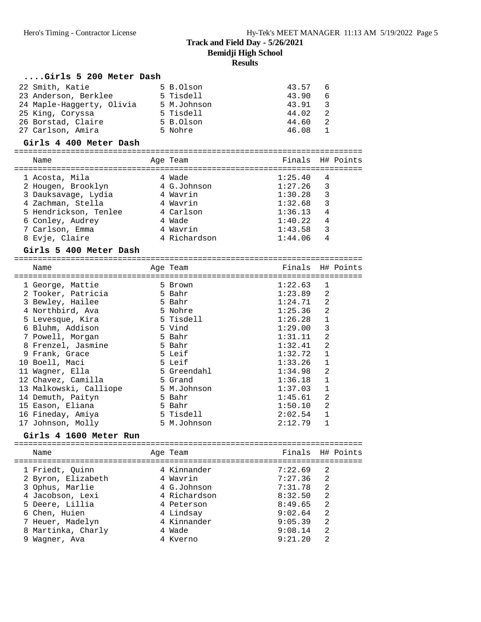#### **....Girls 5 200 Meter Dash** 22 Smith, Katie 5 B.Olson 43.57 6 23 Anderson, Berklee 5 Tisdell 43.90 6 24 Maple-Haggerty, Olivia 5 M.Johnson 43.91 3 25 King, Coryssa 5 Tisdell 44.02 2 26 Borstad, Claire 5 B.Olson 44.60 2 27 Carlson, Amira 5 Nohre 46.08 1 **Girls 4 400 Meter Dash** ========================================================================== Name **Age Team** Age Team Finals H# Points ========================================================================== 1 Acosta, Mila 4 Wade 1:25.40 4 2 Hougen, Brooklyn 4 G.Johnson 1:27.26 3 3 Dauksavage, Lydia 4 Wavrin 1:30.28 3 4 Zachman, Stella 4 Wavrin 1:32.68 3 5 Hendrickson, Tenlee 4 Carlson 1:36.13 4 6 Conley, Audrey 4 Wade 1:40.22 4 7 Carlson, Emma 4 Wavrin 1:43.58 3 8 Evje, Claire 4 Richardson 1:44.06 4 **Girls 5 400 Meter Dash** ========================================================================== Name Age Team Finals H# Points ========================================================================== 1 George, Mattie 5 Brown 1:22.63 1 2 Tooker, Patricia 5 Bahr 1:23.89 2 3 Bewley, Hailee 5 Bahr 1:24.71 2 4 Northbird, Ava 5 Nohre 1:25.36 2 5 Levesque, Kira 5 Tisdell 1:26.28 1 6 Bluhm, Addison 5 Vind 1:29.00 3 7 Powell, Morgan 5 Bahr 1:31.11 2 8 Frenzel, Jasmine 5 Bahr 1:32.41 2 9 Frank, Grace 5 Leif 1:32.72 1

| 8 Frenzel, Jasmine     | 5 Bahr      | 1:32.41 | 2            |
|------------------------|-------------|---------|--------------|
| 9 Frank, Grace         | 5 Leif      | 1:32.72 | 1            |
| 10 Boell, Maci         | 5 Leif      | 1:33.26 | 1            |
| 11 Waqner, Ella        | 5 Greendahl | 1:34.98 | 2            |
| 12 Chavez, Camilla     | 5 Grand     | 1:36.18 | 1            |
| 13 Malkowski, Calliope | 5 M.Johnson | 1:37.03 | 1            |
| 14 Demuth, Paityn      | 5 Bahr      | 1:45.61 | 2            |
| 15 Eason, Eliana       | 5 Bahr      | 1:50.10 | 2            |
| 16 Fineday, Amiya      | 5 Tisdell   | 2:02.54 | $\mathbf{1}$ |
| 17 Johnson, Molly      | 5 M.Johnson | 2:12.79 |              |

**Girls 4 1600 Meter Run** ========================================================================== Name Research Manners Age Team Research Points H# Points ========================================================================== 1 Friedt, Quinn 4 Kinnander 7:22.69 2 2 Byron, Elizabeth 4 Wavrin 7:27.36 2 3 Ophus, Marlie 4 G.Johnson 7:31.78 2 4 Jacobson, Lexi 4 Richardson 8:32.50 2 5 Deere, Lillia 4 Peterson 8:49.65 2 6 Chen, Huien 4 Lindsay 9:02.64 2 7 Heuer, Madelyn 4 Kinnander 9:05.39 2 8 Martinka, Charly 4 Wade 9:08.14 2 9 Wagner, Ava 4 Kverno 9:21.20 2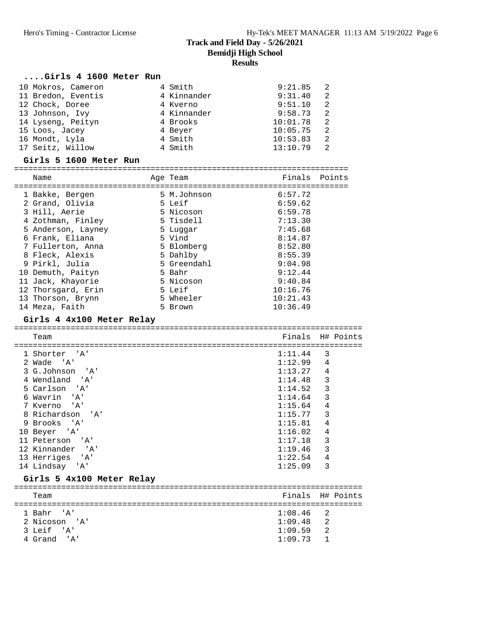#### **....Girls 4 1600 Meter Run**

| 10 Mokros, Cameron | 4 Smith     | 9:21.85<br>-2  |
|--------------------|-------------|----------------|
| 11 Bredon, Eventis | 4 Kinnander | 9:31.40<br>-2  |
| 12 Chock, Doree    | 4 Kverno    | 9:51.10<br>-2  |
| 13 Johnson, Ivy    | 4 Kinnander | 9:58.73<br>-2  |
| 14 Lyseng, Peityn  | 4 Brooks    | 10:01.78<br>-2 |
| 15 Loos, Jacey     | 4 Beyer     | 10:05.75<br>2  |
| 16 Mondt, Lyla     | 4 Smith     | 10:53.83<br>-2 |
| 17 Seitz, Willow   | 4 Smith     | 13:10.79<br>2  |

#### **Girls 5 1600 Meter Run**

| Name               | Age Team    | Finals Points |  |
|--------------------|-------------|---------------|--|
|                    |             |               |  |
| 1 Bakke, Bergen    | 5 M.Johnson | 6:57.72       |  |
| 2 Grand, Olivia    | 5 Leif      | 6:59.62       |  |
| 3 Hill, Aerie      | 5 Nicoson   | 6:59.78       |  |
| 4 Zothman, Finley  | 5 Tisdell   | 7:13.30       |  |
| 5 Anderson, Layney | 5 Luqqar    | 7:45.68       |  |
| 6 Frank, Eliana    | 5 Vind      | 8:14.87       |  |
| 7 Fullerton, Anna  | 5 Blomberg  | 8:52.80       |  |
| 8 Fleck, Alexis    | 5 Dahlby    | 8:55.39       |  |
| 9 Pirkl, Julia     | 5 Greendahl | 9:04.98       |  |
| 10 Demuth, Paityn  | 5 Bahr      | 9:12.44       |  |
| 11 Jack, Khayorie  | 5 Nicoson   | 9:40.84       |  |
| 12 Thorsgard, Erin | 5 Leif      | 10:16.76      |  |
| 13 Thorson, Brynn  | 5 Wheeler   | 10:21.43      |  |
| 14 Meza, Faith     | 5 Brown     | 10:36.49      |  |

#### **Girls 4 4x100 Meter Relay**

========================================================================== Team **Finals** H# Points ========================================================================== 1 Shorter 'A' 1:11.44 3<br>2 Wade 'A' 1:12.99 4  $1:12.99$  4<br> $1:13.27$  4 3 G.Johnson 'A' 4 Wendland 'A' 1:14.48 3<br>5 Carlson 'A' 1:14.52 3 5 Carlson 'A' 1:14.52 3<br>
6 Wavrin 'A' 1:14.64 3<br>
7 Kverno 'A' 1:15.64 4 6 Wavrin 'A' 1:14.64 3 7 Kverno 'A' 1:15.64 4 8 Richardson 'A' 1:15.77 3<br>
9 Brooks 'A' 1:15.81 4<br>
10 Beyer 'A' 1:16.02 4 9 Brooks 'A' 10 Beyer 'A' 1:16.02 4<br>11 Peterson 'A' 1:17.18 3 11 Peterson 'A' 1:17.18 3<br>12 Kinnander 'A' 1:19.46 3 12 Kinnander 'A' 13 Herriges 'A' 1:22.54 4 14 Lindsay 'A' 1:25.09 3

#### **Girls 5 4x100 Meter Relay**

| Team          | Finals H# Points |  |  |  |  |  |  |
|---------------|------------------|--|--|--|--|--|--|
|               |                  |  |  |  |  |  |  |
| 1 Bahr 'A'    | $1:08.46$ 2      |  |  |  |  |  |  |
| 2 Nicoson 'A' | $1:09.48$ 2      |  |  |  |  |  |  |
| 3 Leif 'A'    | $1:09.59$ 2      |  |  |  |  |  |  |
| 4 Grand 'A'   | $1:09.73$ 1      |  |  |  |  |  |  |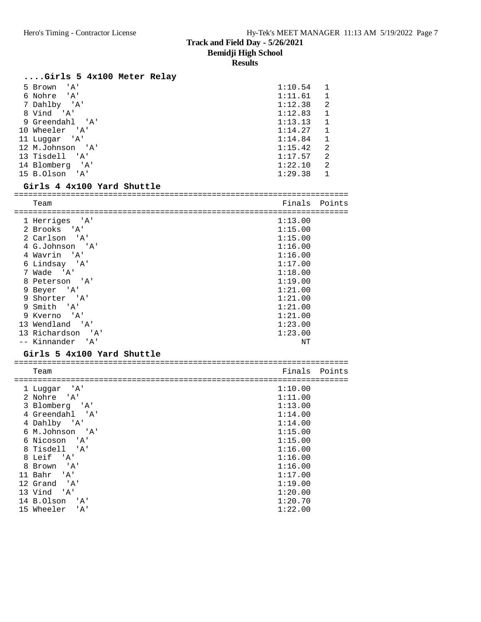# **Results**

# **....Girls 5 4x100 Meter Relay**

| ' A '<br>5 Brown      | 1:10.54 | 1            |
|-----------------------|---------|--------------|
| 6 Nohre<br>'A'        | 1:11.61 | 1            |
| 7 Dahlby 'A'          | 1:12.38 | 2            |
| 8 Vind 'A'            | 1:12.83 | 1            |
| 9 Greendahl 'A'       | 1:13.13 | $\mathbf{1}$ |
| 10 Wheeler 'A'        | 1:14.27 | 1            |
| 11 Luqqar 'A'         | 1:14.84 | $\mathbf 1$  |
| 12 M.Johnson 'A'      | 1:15.42 | 2            |
| 13 Tisdell 'A'        | 1:17.57 | 2            |
| 14 Blomberg<br>' 'A ' | 1:22.10 | 2            |
| 15 B.Olson<br>' A'    | 1:29.38 |              |

# **Girls 4 4x100 Yard Shuttle**

| Team              | Finals  | Points |  |  |  |
|-------------------|---------|--------|--|--|--|
|                   |         |        |  |  |  |
| 1 Herriges 'A'    | 1:13.00 |        |  |  |  |
| 2 Brooks 'A'      | 1:15.00 |        |  |  |  |
| 2 Carlson 'A'     | 1:15.00 |        |  |  |  |
| 4 G.Johnson 'A'   | 1:16.00 |        |  |  |  |
| 4 Wavrin 'A'      | 1:16.00 |        |  |  |  |
| 6 Lindsay 'A'     | 1:17.00 |        |  |  |  |
| 7 Wade 'A'        | 1:18.00 |        |  |  |  |
| 8 Peterson 'A'    | 1:19.00 |        |  |  |  |
| 9 Beyer 'A'       | 1:21.00 |        |  |  |  |
| 9 Shorter 'A'     | 1:21.00 |        |  |  |  |
| 9 Smith 'A'       | 1:21.00 |        |  |  |  |
| 9 Kverno 'A'      | 1:21.00 |        |  |  |  |
| 13 Wendland 'A'   | 1:23.00 |        |  |  |  |
| 13 Richardson 'A' | 1:23.00 |        |  |  |  |
| -- Kinnander 'A'  | ΝT      |        |  |  |  |

#### **Girls 5 4x100 Yard Shuttle**

| Team                                    | Finals Points |  |
|-----------------------------------------|---------------|--|
|                                         |               |  |
| 1 Luqqar 'A'                            | 1:10.00       |  |
| 2 Nohre 'A'                             | 1:11.00       |  |
| 3 Blomberg 'A'                          | 1:13.00       |  |
| 4 Greendahl 'A'                         | 1:14.00       |  |
| 4 Dahlby 'A'                            | 1:14.00       |  |
| 6 M.Johnson 'A'                         | 1:15.00       |  |
| 6 Nicoson 'A'                           | 1:15.00       |  |
| 8 Tisdell 'A'                           | 1:16.00       |  |
| 8 Leif 'A'                              | 1:16.00       |  |
| 8 Brown 'A'                             | 1:16.00       |  |
| 11 Bahr 'A'                             | 1:17.00       |  |
| 12 Grand 'A'                            | 1:19.00       |  |
| 13 Vind 'A'                             | 1:20.00       |  |
| 14 B.Olson<br>$^{\prime}$ A $^{\prime}$ | 1:20.70       |  |
| 15 Wheeler<br>$^{\prime}$ A $^{\prime}$ | 1:22.00       |  |
|                                         |               |  |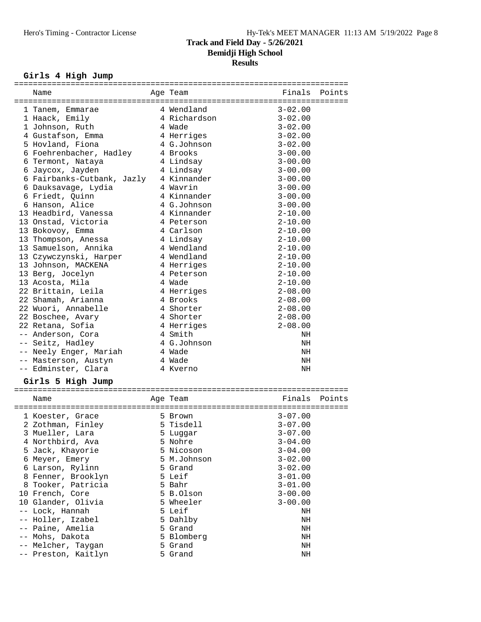# Girls 4 High Jump

| Name                       | Age Team     | Finals      | Points |
|----------------------------|--------------|-------------|--------|
| 1 Tanem, Emmarae           | 4 Wendland   | $3 - 02.00$ |        |
|                            | 4 Richardson | $3 - 02.00$ |        |
| 1 Haack, Emily             |              |             |        |
| 1 Johnson, Ruth            | 4 Wade       | $3 - 02.00$ |        |
| 4 Gustafson, Emma          | 4 Herriges   | $3 - 02.00$ |        |
| 5 Hovland, Fiona           | 4 G.Johnson  | $3 - 02.00$ |        |
| 6 Foehrenbacher, Hadley    | 4 Brooks     | $3 - 00.00$ |        |
| 6 Termont, Nataya          | 4 Lindsay    | $3 - 00.00$ |        |
| 6 Jaycox, Jayden           | 4 Lindsay    | $3 - 00.00$ |        |
| 6 Fairbanks-Cutbank, Jazly | 4 Kinnander  | $3 - 00.00$ |        |
| 6 Dauksavage, Lydia        | 4 Wavrin     | $3 - 00.00$ |        |
| 6 Friedt, Quinn            | 4 Kinnander  | $3 - 00.00$ |        |
| 6 Hanson, Alice            | 4 G.Johnson  | $3 - 00.00$ |        |
| 13 Headbird, Vanessa       | 4 Kinnander  | $2 - 10.00$ |        |
| 13 Onstad, Victoria        | 4 Peterson   | $2 - 10.00$ |        |
| 13 Bokovoy, Emma           | 4 Carlson    | $2 - 10.00$ |        |
| 13 Thompson, Anessa        | 4 Lindsay    | $2 - 10.00$ |        |
| 13 Samuelson, Annika       | 4 Wendland   | $2 - 10.00$ |        |
| 13 Czywczynski, Harper     | 4 Wendland   | $2 - 10.00$ |        |
| 13 Johnson, MACKENA        | 4 Herriges   | $2 - 10.00$ |        |
| 13 Berg, Jocelyn           | 4 Peterson   | $2 - 10.00$ |        |
| 13 Acosta, Mila            | 4 Wade       | $2 - 10.00$ |        |
|                            |              |             |        |
| 22 Brittain, Leila         | 4 Herriges   | $2 - 08.00$ |        |
| 22 Shamah, Arianna         | 4 Brooks     | $2 - 08.00$ |        |
| 22 Wuori, Annabelle        | 4 Shorter    | $2 - 08.00$ |        |
| 22 Boschee, Avary          | 4 Shorter    | $2 - 08.00$ |        |
| 22 Retana, Sofia           | 4 Herriges   | $2 - 08.00$ |        |
| -- Anderson, Cora          | 4 Smith      | NH          |        |
| -- Seitz, Hadley           | 4 G.Johnson  | NH          |        |
| -- Neely Enger, Mariah     | 4 Wade       | ΝH          |        |
| -- Masterson, Austyn       | 4 Wade       | ΝH          |        |
| -- Edminster, Clara        | 4 Kverno     | ΝH          |        |
| Girls 5 High Jump          |              |             |        |
|                            |              |             |        |
| Name                       | Age Team     | Finals      | Points |
| 1 Koester, Grace           | 5 Brown      | $3 - 07.00$ |        |
| 2 Zothman, Finley          | 5 Tisdell    | $3 - 07.00$ |        |
| 3 Mueller, Lara            | 5 Luggar     | $3 - 07.00$ |        |
| 4 Northbird, Ava           | 5 Nohre      | $3 - 04.00$ |        |
| 5 Jack, Khayorie           | 5 Nicoson    | $3 - 04.00$ |        |
| 6 Meyer, Emery             | 5 M.Johnson  | $3 - 02.00$ |        |
| 6 Larson, Rylinn           | 5 Grand      | $3 - 02.00$ |        |
| 8 Fenner, Brooklyn         | 5 Leif       |             |        |
|                            |              | $3 - 01.00$ |        |
| 8 Tooker, Patricia         | 5 Bahr       | $3 - 01.00$ |        |
| 10 French, Core            | 5 B.Olson    | $3 - 00.00$ |        |
| 10 Glander, Olivia         | 5 Wheeler    | $3 - 00.00$ |        |
| -- Lock, Hannah            | 5 Leif       | ΝH          |        |
| -- Holler, Izabel          | 5 Dahlby     | NH          |        |
| -- Paine, Amelia           | 5 Grand      | NH          |        |
| -- Mohs, Dakota            | 5 Blomberg   | NH          |        |
| -- Melcher, Taygan         | 5 Grand      | ΝH          |        |
| -- Preston, Kaitlyn        | 5 Grand      | NH          |        |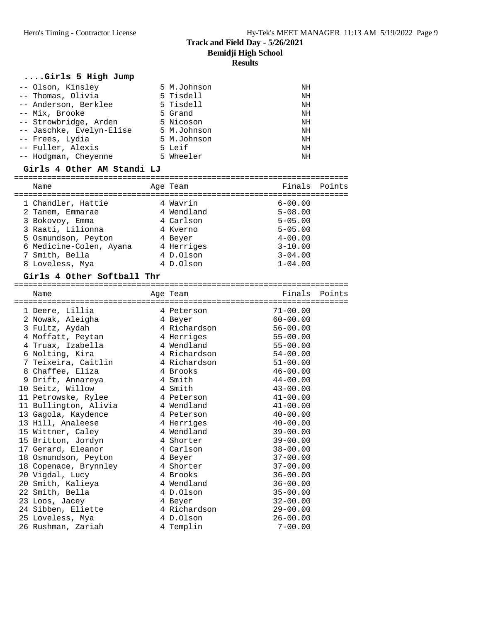#### **....Girls 5 High Jump**

| -- Olson, Kinsley        | 5 M.Johnson | NH |
|--------------------------|-------------|----|
| -- Thomas, Olivia        | 5 Tisdell   | NH |
| -- Anderson, Berklee     | 5 Tisdell   | NH |
| -- Mix, Brooke           | 5 Grand     | NH |
| -- Strowbridge, Arden    | 5 Nicoson   | NH |
| -- Jaschke, Evelyn-Elise | 5 M.Johnson | NH |
| -- Frees, Lydia          | 5 M.Johnson | NH |
| -- Fuller, Alexis        | 5 Leif      | NH |
| -- Hodgman, Cheyenne     | 5 Wheeler   | NH |

#### **Girls 4 Other AM Standi LJ**

| Name                    | Age Team   | Finals Points |  |
|-------------------------|------------|---------------|--|
| 1 Chandler, Hattie      | 4 Wavrin   | $6 - 00.00$   |  |
| 2 Tanem, Emmarae        | 4 Wendland | $5 - 08.00$   |  |
| 3 Bokovoy, Emma         | 4 Carlson  | $5 - 05.00$   |  |
| 3 Raati, Lilionna       | 4 Kverno   | $5 - 05.00$   |  |
| 5 Osmundson, Peyton     | 4 Beyer    | $4 - 00.00$   |  |
| 6 Medicine-Colen, Ayana | 4 Herriges | $3 - 10.00$   |  |
| 7 Smith, Bella          | 4 D.Olson  | $3 - 04.00$   |  |
| 8 Loveless, Mya         | 4 D.Olson  | $1 - 04.00$   |  |

# **Girls 4 Other Softball Thr**

|   | Name                  | Age Team                         | Finals Points |  |
|---|-----------------------|----------------------------------|---------------|--|
|   | 1 Deere, Lillia       | ==================<br>4 Peterson | $71 - 00.00$  |  |
|   | 2 Nowak, Aleigha      | 4 Beyer                          | $60 - 00.00$  |  |
|   | 3 Fultz, Aydah        | 4 Richardson                     | $56 - 00.00$  |  |
|   | 4 Moffatt, Peytan     | 4 Herriges                       | $55 - 00.00$  |  |
|   | 4 Truax, Izabella     | 4 Wendland                       | $55 - 00.00$  |  |
|   | 6 Nolting, Kira       | 4 Richardson                     | 54-00.00      |  |
| 7 | Teixeira, Caitlin     | 4 Richardson                     | $51 - 00.00$  |  |
|   | 8 Chaffee, Eliza      | 4 Brooks                         | $46 - 00.00$  |  |
|   | 9 Drift, Annareya     | 4 Smith                          | $44 - 00.00$  |  |
|   | 10 Seitz, Willow      | 4 Smith                          | $43 - 00.00$  |  |
|   | 11 Petrowske, Rylee   | 4 Peterson                       | $41 - 00.00$  |  |
|   | 11 Bullington, Alivia | 4 Wendland                       | $41 - 00.00$  |  |
|   | 13 Gagola, Kaydence   | 4 Peterson                       | $40 - 00.00$  |  |
|   | 13 Hill, Analeese     | 4 Herriges                       | $40 - 00.00$  |  |
|   | 15 Wittner, Caley     | 4 Wendland                       | $39 - 00.00$  |  |
|   | 15 Britton, Jordyn    | 4 Shorter                        | $39 - 00.00$  |  |
|   | 17 Gerard, Eleanor    | 4 Carlson                        | $38 - 00.00$  |  |
|   | 18 Osmundson, Peyton  | 4 Beyer                          | $37 - 00.00$  |  |
|   | 18 Copenace, Brynnley | 4 Shorter                        | $37 - 00.00$  |  |
|   | 20 Vigdal, Lucy       | 4 Brooks                         | $36 - 00.00$  |  |
|   | 20 Smith, Kalieya     | 4 Wendland                       | $36 - 00.00$  |  |
|   | 22 Smith, Bella       | 4 D.Olson                        | $35 - 00.00$  |  |
|   | 23 Loos, Jacey        | 4 Beyer                          | $32 - 00.00$  |  |
|   | 24 Sibben, Eliette    | 4 Richardson                     | $29 - 00.00$  |  |
|   | 25 Loveless, Mya      | 4 D.Olson                        | $26 - 00.00$  |  |
|   | 26 Rushman, Zariah    | 4 Templin                        | $7 - 00.00$   |  |
|   |                       |                                  |               |  |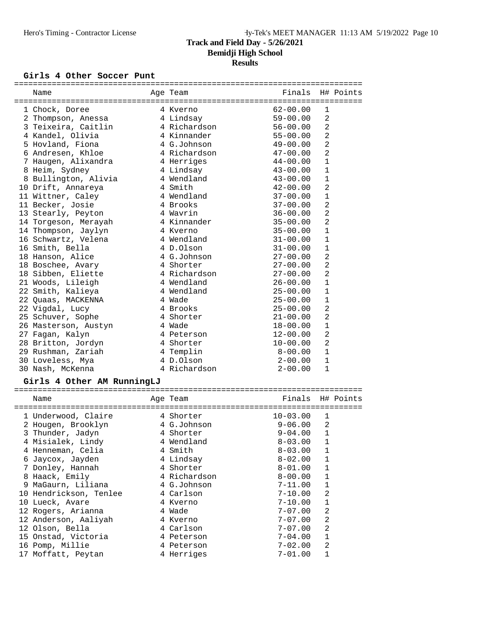#### Girls 4 Other Soccer Punt

| Name                               | Age Team     | <b>Example 19</b> Finals |                | H# Points |
|------------------------------------|--------------|--------------------------|----------------|-----------|
|                                    |              |                          |                |           |
| 1 Chock, Doree                     | 4 Kverno     | 62-00.00                 | 1              |           |
| 2 Thompson, Anessa                 | 4 Lindsay    | $59 - 00.00$             | 2              |           |
| 3 Teixeira, Caitlin 1 4 Richardson |              | $56 - 00.00$             | 2              |           |
| 4 Kandel, Olivia                   | 4 Kinnander  | 55-00.00                 | 2              |           |
| 5 Hovland, Fiona                   | 4 G.Johnson  | $49 - 00.00$             | $\overline{a}$ |           |
| 6 Andresen, Khloe                  | 4 Richardson | $47 - 00.00$             | $\overline{2}$ |           |
| 7 Haugen, Alixandra 14 Herriges    |              | $44-00.00$               | $\mathbf{1}$   |           |
| 8 Heim, Sydney                     | 4 Lindsay    | $43 - 00.00$             | $\mathbf{1}$   |           |
| 8 Bullington, Alivia               | 4 Wendland   | $43 - 00.00$             | $\mathbf{1}$   |           |
| 10 Drift, Annareya                 | 4 Smith      | $42 - 00.00$             | $\overline{2}$ |           |
| 11 Wittner, Caley                  | 4 Wendland   | $37 - 00.00$             | $\mathbf{1}$   |           |
| 11 Becker, Josie                   | 4 Brooks     | 37-00.00                 | $\overline{2}$ |           |
| 13 Stearly, Peyton                 | 4 Wavrin     | $36 - 00.00$             | $\overline{2}$ |           |
| 14 Torgeson, Merayah               | 4 Kinnander  | $35 - 00.00$             | $\overline{2}$ |           |
| 14 Thompson, Jaylyn                | 4 Kverno     | $35 - 00.00$             | $\mathbf{1}$   |           |
| 16 Schwartz, Velena                | 4 Wendland   | $31 - 00.00$             | $\mathbf{1}$   |           |
| 16 Smith, Bella                    | 4 D.Olson    | $31 - 00.00$             | $\mathbf{1}$   |           |
| 18 Hanson, Alice                   | 4 G.Johnson  | $27 - 00.00$             | $\overline{2}$ |           |
| 18 Boschee, Avary                  | 4 Shorter    | $27 - 00.00$             | $\overline{2}$ |           |
| 18 Sibben, Eliette                 | 4 Richardson | 27-00.00                 | 2              |           |
| 21 Woods, Lileigh                  | 4 Wendland   | $26 - 00.00$             | $\mathbf{1}$   |           |
| 22 Smith, Kalieya                  | 4 Wendland   | $25 - 00.00$             | $\mathbf{1}$   |           |
| 22 Quaas, MACKENNA                 | 4 Wade       | $25 - 00.00$             | $\mathbf 1$    |           |
| 22 Vigdal, Lucy                    | 4 Brooks     | $25 - 00.00$             | $\overline{2}$ |           |
| 25 Schuver, Sophe                  | 4 Shorter    | $21 - 00.00$             | $\overline{2}$ |           |
| 26 Masterson, Austyn               | 4 Wade       | $18 - 00.00$             | $\mathbf{1}$   |           |
| 27 Fagan, Kalyn                    | 4 Peterson   | $12 - 00.00$             | $\overline{a}$ |           |
| 28 Britton, Jordyn                 | 4 Shorter    | $10 - 00.00$             | $\overline{2}$ |           |
| 29 Rushman, Zariah                 | 4 Templin    | $8 - 00.00$              | $\mathbf{1}$   |           |
| 30 Loveless, Mya                   | 4 D.Olson    | 2-00.00                  | $\mathbf{1}$   |           |
| 30 Nash, McKenna                   | 4 Richardson | $2 - 00.00$              | $\mathbf{1}$   |           |

# **Girls 4 Other AM RunningLJ**

|   | Name                   |  | Age Team     | Finals H# Points |              |  |  |
|---|------------------------|--|--------------|------------------|--------------|--|--|
|   | 1 Underwood, Claire    |  | 4 Shorter    | $10 - 03.00$     | 1            |  |  |
|   | 2 Hougen, Brooklyn     |  | 4 G.Johnson  | $9 - 06.00$      | 2            |  |  |
|   | 3 Thunder, Jadyn       |  | 4 Shorter    | $9 - 04.00$      | $\mathbf{1}$ |  |  |
|   | 4 Misialek, Lindy      |  | 4 Wendland   | $8 - 03.00$      | 1            |  |  |
|   | 4 Henneman, Celia      |  | 4 Smith      | $8 - 03.00$      | 1            |  |  |
|   | 6 Jaycox, Jayden       |  | 4 Lindsay    | $8 - 02.00$      | 1            |  |  |
|   | 7 Donley, Hannah       |  | 4 Shorter    | $8-01.00$        | 1            |  |  |
|   | 8 Haack, Emily         |  | 4 Richardson | $8-00.00$        | $\mathbf{1}$ |  |  |
| 9 | MaGaurn, Liliana       |  | 4 G.Johnson  | 7-11.00          | $\mathbf{1}$ |  |  |
|   | 10 Hendrickson, Tenlee |  | 4 Carlson    | 7-10.00          | 2            |  |  |
|   | 10 Lueck, Avare        |  | 4 Kverno     | $7 - 10.00$      | $\mathbf{1}$ |  |  |
|   | 12 Rogers, Arianna     |  | 4 Wade       | $7 - 07.00$      | 2            |  |  |
|   | 12 Anderson, Aaliyah   |  | 4 Kverno     | $7 - 07.00$      | 2            |  |  |
|   | 12 Olson, Bella        |  | 4 Carlson    | 7-07.00          | 2            |  |  |
|   | 15 Onstad, Victoria    |  | 4 Peterson   | $7 - 04.00$      | 1            |  |  |
|   | 16 Pomp, Millie        |  | 4 Peterson   | 7-02.00          | 2            |  |  |
|   | 17 Moffatt, Peytan     |  | 4 Herriges   | $7 - 01.00$      |              |  |  |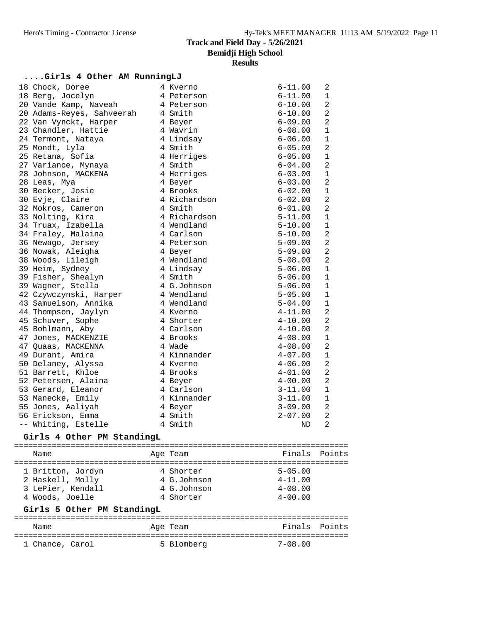#### **....Girls 4 Other AM RunningLJ**

| 18 Chock, Doree           | 4 Kverno     | $6 - 11.00$ | 2              |
|---------------------------|--------------|-------------|----------------|
| 18 Berg, Jocelyn          | 4 Peterson   | $6 - 11.00$ | $\mathbf{1}$   |
| 20 Vande Kamp, Naveah     | 4 Peterson   | $6 - 10.00$ | $\overline{2}$ |
| 20 Adams-Reyes, Sahveerah | 4 Smith      | $6 - 10.00$ | $\overline{a}$ |
| 22 Van Vynckt, Harper     | 4 Beyer      | $6 - 09.00$ | 2              |
| 23 Chandler, Hattie       | 4 Wavrin     | $6 - 08.00$ | $\mathbf 1$    |
| 24 Termont, Nataya        | 4 Lindsay    | $6 - 06.00$ | $\mathbf 1$    |
| 25 Mondt, Lyla            | 4 Smith      | $6 - 05.00$ | $\overline{a}$ |
| 25 Retana, Sofia          | 4 Herriges   | $6 - 05.00$ | $\mathbf 1$    |
| 27 Variance, Mynaya       | 4 Smith      | $6 - 04.00$ | $\overline{a}$ |
| 28 Johnson, MACKENA       | 4 Herriges   | $6 - 03.00$ | $\mathbf 1$    |
| 28 Leas, Mya              | 4 Beyer      | $6 - 03.00$ | $\overline{a}$ |
| 30 Becker, Josie          | 4 Brooks     | $6 - 02.00$ | $\mathbf 1$    |
| 30 Evje, Claire           | 4 Richardson | $6 - 02.00$ | $\overline{2}$ |
| 32 Mokros, Cameron        | 4 Smith      | $6 - 01.00$ | $\overline{a}$ |
| 33 Nolting, Kira          | 4 Richardson | $5 - 11.00$ | $1\,$          |
| 34 Truax, Izabella        | 4 Wendland   | $5 - 10.00$ | $\mathbf{1}$   |
| 34 Fraley, Malaina        | 4 Carlson    | $5 - 10.00$ | $\overline{a}$ |
| 36 Newago, Jersey         | 4 Peterson   | $5 - 09.00$ | $\overline{a}$ |
| 36 Nowak, Aleigha         | 4 Beyer      | $5 - 09.00$ | $\overline{a}$ |
| 38 Woods, Lileigh         | 4 Wendland   | $5 - 08.00$ | 2              |
| 39 Heim, Sydney           | 4 Lindsay    | $5 - 06.00$ | $\mathbf{1}$   |
| 39 Fisher, Shealyn        | 4 Smith      | $5 - 06.00$ | $\mathbf{1}$   |
| 39 Wagner, Stella         | 4 G.Johnson  | $5 - 06.00$ | $\mathbf 1$    |
| 42 Czywczynski, Harper    | 4 Wendland   | $5 - 05.00$ | $\mathbf 1$    |
| 43 Samuelson, Annika      | 4 Wendland   | $5 - 04.00$ | $\mathbf 1$    |
| 44 Thompson, Jaylyn       | 4 Kverno     | $4 - 11.00$ | $\overline{a}$ |
| 45 Schuver, Sophe         | 4 Shorter    | $4 - 10.00$ | $\overline{a}$ |
| 45 Bohlmann, Aby          | 4 Carlson    | $4 - 10.00$ | $\overline{2}$ |
| 47 Jones, MACKENZIE       | 4 Brooks     | $4 - 08.00$ | $\mathbf 1$    |
| 47 Quaas, MACKENNA        | 4 Wade       | $4 - 08.00$ | $\overline{a}$ |
| 49 Durant, Amira          | 4 Kinnander  | $4 - 07.00$ | $\mathbf{1}$   |
| 50 Delaney, Alyssa        | 4 Kverno     | $4 - 06.00$ | $\overline{a}$ |
| 51 Barrett, Khloe         | 4 Brooks     | $4 - 01.00$ | $\overline{a}$ |
| 52 Petersen, Alaina       | 4 Beyer      | $4 - 00.00$ | $\overline{2}$ |
| 53 Gerard, Eleanor        | 4 Carlson    | $3 - 11.00$ | $\mathbf 1$    |
| 53 Manecke, Emily         | 4 Kinnander  | $3 - 11.00$ | $\mathbf 1$    |
| 55 Jones, Aaliyah         | 4 Beyer      | $3 - 09.00$ | 2              |
| 56 Erickson, Emma         | 4 Smith      | $2 - 07.00$ | $\overline{a}$ |
| -- Whiting, Estelle       | 4 Smith      | ND          | $\overline{2}$ |

#### **Girls 4 Other PM StandingL**

======================================================================= Name **Age Team** Age Team Finals Points ======================================================================= 1 Britton, Jordyn 4 Shorter 5-05.00 2 Haskell, Molly 4 G.Johnson 4-11.00 3 LePier, Kendall 4 G.Johnson 4-08.00 4 Woods, Joelle 4 Shorter 4-00.00

#### **Girls 5 Other PM StandingL**

| Name            | Age Team   | Finals Points |  |
|-----------------|------------|---------------|--|
|                 |            |               |  |
| 1 Chance, Carol | 5 Blomberg | $7 - 08.00$   |  |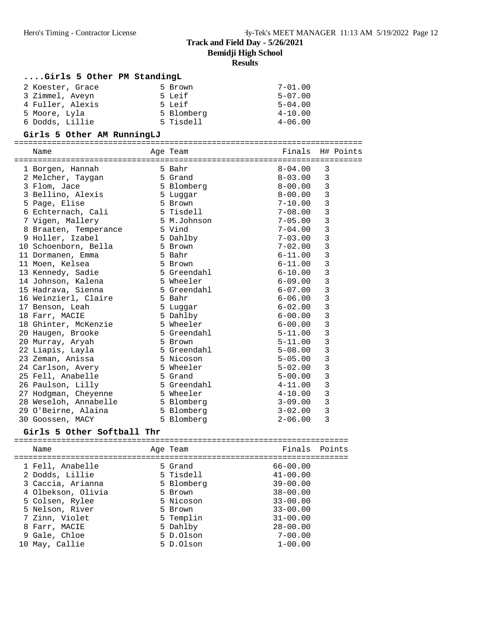#### **....Girls 5 Other PM StandingL**

| 2 Koester, Grace | 5 Brown    | $7 - 01.00$ |
|------------------|------------|-------------|
| 3 Zimmel, Aveyn  | 5 Leif     | $5 - 07.00$ |
| 4 Fuller, Alexis | 5 Leif     | $5 - 04.00$ |
| 5 Moore, Lyla    | 5 Blomberg | $4 - 10.00$ |
| 6 Dodds, Lillie  | 5 Tisdell  | $4 - 06.00$ |

#### **Girls 5 Other AM RunningLJ**

| Name                             | Aqe Team                 | Finals H# Points |                |  |
|----------------------------------|--------------------------|------------------|----------------|--|
|                                  |                          |                  |                |  |
| 1 Borgen, Hannah                 | 5 Bahr                   | $8 - 04.00$      | 3              |  |
| 2 Melcher, Taygan                | 5 Grand                  | $8 - 03.00$      | 3              |  |
| 3 Flom, Jace                     | 5 Blomberg               | $8-00.00$        | $\overline{3}$ |  |
| 3 Bellino, Alexis                | 5 Luqqar                 | $8 - 00.00$      | $\overline{3}$ |  |
| 5 Page, Elise                    | 5 Brown                  | $7 - 10.00$      | 3              |  |
| 6 Echternach, Cali               | 5 Tisdell                | $7 - 08.00$      | 3              |  |
| 7 Vigen, Mallery                 | 5 M.Johnson              | 7-05.00          | 3              |  |
| 8 Braaten, Temperance 5 Vind     |                          | 7-04.00          | $\overline{3}$ |  |
| 9 Holler, Izabel                 | 5 Dahlby                 | $7 - 03.00$      | $\mathbf{3}$   |  |
| 10 Schoenborn, Bella             | 5 Brown                  | $7 - 02.00$      | 3              |  |
| 11 Dormanen, Emma                | 5 Bahr                   | $6 - 11.00$      | 3              |  |
| 11 Moen, Kelsea                  | 5 Brown                  | $6 - 11.00$      | 3              |  |
| 13 Kennedy, Sadie                | 5 Greendahl<br>5 Wheeler | $6 - 10.00$      | 3              |  |
| 14 Johnson, Kalena               |                          | 6-09.00          | 3              |  |
| 15 Hadrava, Sienna               | 5 Greendahl              | $6 - 07.00$      | 3              |  |
| 16 Weinzierl, Claire 5 Bahr      |                          | $6 - 06.00$      | 3              |  |
| 17 Benson, Leah                  | 5 Luggar                 | $6 - 02.00$      | 3              |  |
| 18 Farr, MACIE                   | 5 Dahlby                 | $6 - 00.00$      | 3              |  |
| 18 Ghinter, McKenzie 5 Wheeler   |                          | $6 - 00.00$      | $\overline{3}$ |  |
| 20 Haugen, Brooke                | 5 Greendahl              | $5 - 11.00$      | 3              |  |
| 20 Murray, Aryah                 | 5 Brown                  | $5 - 11.00$      | 3              |  |
| 22 Liapis, Layla                 | 5 Greendahl              | $5 - 08.00$      | 3              |  |
| 23 Zeman, Anissa                 | 5 Nicoson                | $5 - 05.00$      | 3              |  |
| 24 Carlson, Avery                | 5 Wheeler                | $5 - 02.00$      | 3              |  |
| 25 Fell, Anabelle                | 5 Grand                  | $5 - 00.00$      | 3              |  |
| 26 Paulson, Lilly                | 5 Greendahl              | $4 - 11.00$      | 3              |  |
| 27 Hodgman, Cheyenne 5 Wheeler   |                          | $4 - 10.00$      | 3              |  |
| 28 Weseloh, Annabelle 5 Blomberg |                          | $3 - 09.00$      | $\mathbf{3}$   |  |
| 29 O'Beirne, Alaina              | 5 Blomberg               | 3-02.00          | 3              |  |
| 30 Goossen, MACY                 | 5 Blomberg               | $2 - 06.00$      | 3              |  |

#### **Girls 5 Other Softball Thr**

======================================================================= Name **Age Team** Age Team Finals Points ======================================================================= 1 Fell, Anabelle 5 Grand 66-00.00 2 Dodds, Lillie 5 Tisdell 41-00.00 3 Caccia, Arianna 5 Blomberg 39-00.00 4 Olbekson, Olivia 5 Brown 38-00.00 5 Colsen, Rylee 5 Nicoson 33-00.00 5 Nelson, River 5 Brown 33-00.00 7 Zinn, Violet 5 Templin 31-00.00 8 Farr, MACIE 5 Dahlby 28-00.00 9 Gale, Chloe 5 D.Olson 7-00.00 10 May, Callie 5 D.Olson 1-00.00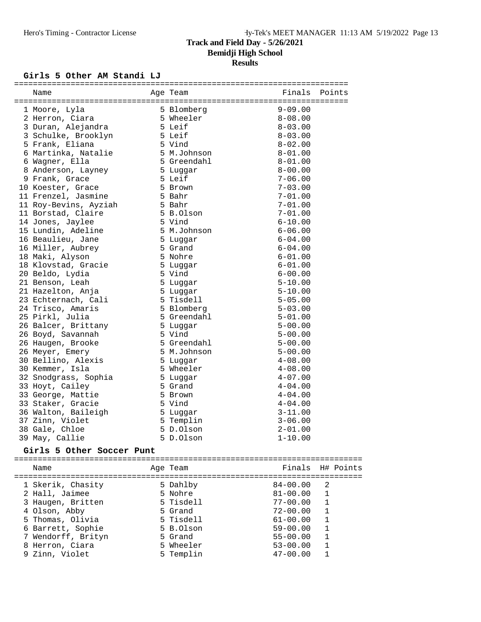# **Girls 5 Other AM Standi LJ** =======================================================================

| Name                       | Age Team    | Finals       | Points       |
|----------------------------|-------------|--------------|--------------|
| 1 Moore, Lyla              | 5 Blomberg  | $9 - 09.00$  |              |
| 2 Herron, Ciara            | 5 Wheeler   | $8 - 08.00$  |              |
| 3 Duran, Alejandra         | 5 Leif      | $8 - 03.00$  |              |
| 3 Schulke, Brooklyn 5 Leif |             | $8 - 03.00$  |              |
| 5 Frank, Eliana            | 5 Vind      | $8 - 02.00$  |              |
| 6 Martinka, Natalie        | 5 M.Johnson | $8 - 01.00$  |              |
| 6 Wagner, Ella             | 5 Greendahl | $8 - 01.00$  |              |
| 8 Anderson, Layney         | 5 Luggar    | $8 - 00.00$  |              |
| 9 Frank, Grace             | 5 Leif      | $7 - 06.00$  |              |
| 10 Koester, Grace          | 5 Brown     | $7 - 03.00$  |              |
| 11 Frenzel, Jasmine        | 5 Bahr      | $7 - 01.00$  |              |
| 11 Roy-Bevins, Ayziah      | 5 Bahr      | $7 - 01.00$  |              |
| 11 Borstad, Claire         | 5 B.Olson   | $7 - 01.00$  |              |
| 14 Jones, Jaylee           | 5 Vind      | $6 - 10.00$  |              |
| 15 Lundin, Adeline         | 5 M.Johnson | $6 - 06.00$  |              |
| 16 Beaulieu, Jane          | 5 Luggar    | $6 - 04.00$  |              |
| 16 Miller, Aubrey          | 5 Grand     | $6 - 04.00$  |              |
| 18 Maki, Alyson            | 5 Nohre     | $6 - 01.00$  |              |
| 18 Klovstad, Gracie        | 5 Luggar    | $6 - 01.00$  |              |
| 20 Beldo, Lydia            | 5 Vind      | $6 - 00.00$  |              |
| 21 Benson, Leah            | 5 Luggar    | $5 - 10.00$  |              |
| 21 Hazelton, Anja          | 5 Luggar    | $5 - 10.00$  |              |
| 23 Echternach, Cali        | 5 Tisdell   | $5 - 05.00$  |              |
| 24 Trisco, Amaris          | 5 Blomberg  | $5 - 03.00$  |              |
| 25 Pirkl, Julia            | 5 Greendahl | $5 - 01.00$  |              |
| 26 Balcer, Brittany        | 5 Luggar    | $5 - 00.00$  |              |
| 26 Boyd, Savannah          | 5 Vind      | $5 - 00.00$  |              |
| 26 Haugen, Brooke          | 5 Greendahl | $5 - 00.00$  |              |
| 26 Meyer, Emery            | 5 M.Johnson | $5 - 00.00$  |              |
| 30 Bellino, Alexis         | 5 Luggar    | $4 - 08.00$  |              |
| 30 Kemmer, Isla            | 5 Wheeler   | $4 - 08.00$  |              |
| 32 Snodgrass, Sophia       | 5 Luggar    | $4 - 07.00$  |              |
| 33 Hoyt, Cailey            | 5 Grand     | $4 - 04.00$  |              |
| 33 George, Mattie          | 5 Brown     | $4 - 04.00$  |              |
| 33 Staker, Gracie          | 5 Vind      | $4 - 04.00$  |              |
| 36 Walton, Baileigh        | 5 Luggar    | $3 - 11.00$  |              |
| 37 Zinn, Violet            | 5 Templin   | $3 - 06.00$  |              |
| 38 Gale, Chloe             | 5 D.Olson   | $2 - 01.00$  |              |
| 39 May, Callie             | 5 D.Olson   | $1 - 10.00$  |              |
| Girls 5 Other Soccer Punt  |             |              |              |
|                            |             |              |              |
| Name                       | Age Team    | Finals       | H# Points    |
| 1 Skerik, Chasity          | 5 Dahlby    | $84 - 00.00$ | 2            |
| 2 Hall, Jaimee             | 5 Nohre     | $81 - 00.00$ | 1            |
| 3 Haugen, Britten          | 5 Tisdell   | $77 - 00.00$ | $\mathbf{1}$ |
| 4 Olson, Abby              | 5 Grand     | $72 - 00.00$ | $\mathbf{1}$ |
| 5 Thomas, Olivia           | 5 Tisdell   | $61 - 00.00$ | $\mathbf{1}$ |
| 6 Barrett, Sophie          | 5 B.Olson   | $59 - 00.00$ | $\mathbf{1}$ |
| 7 Wendorff, Brityn         | 5 Grand     | $55 - 00.00$ | $\mathbf{1}$ |
| 8 Herron, Ciara            | 5 Wheeler   | $53 - 00.00$ | $\mathbf{1}$ |
| 9 Zinn, Violet             | 5 Templin   | $47 - 00.00$ | 1            |
|                            |             |              |              |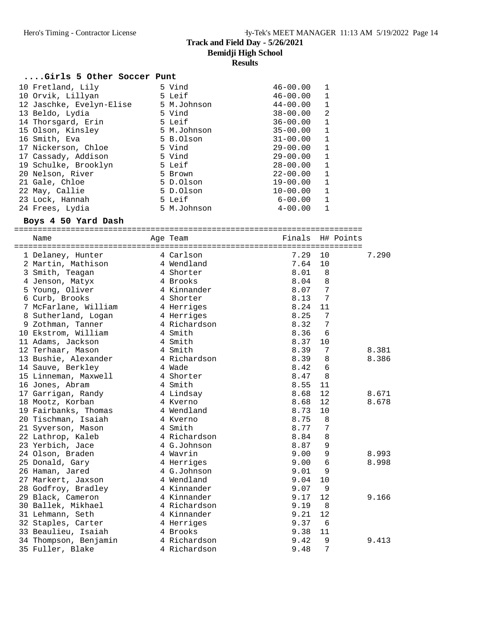#### **....Girls 5 Other Soccer Punt**

| 5 Vind      | $46 - 00.00$                 |  |
|-------------|------------------------------|--|
| 5 Leif      | $46 - 00.00$                 |  |
| 5 M.Johnson | $44 - 00.00$<br>$\mathbf 1$  |  |
| 5 Vind      | 2<br>$38 - 00.00$            |  |
| 5 Leif      | $36 - 00.00$<br>$\mathbf{1}$ |  |
| 5 M.Johnson | $35 - 00.00$<br>1            |  |
| 5 B.Olson   | $31 - 00.00$<br>$\mathbf{1}$ |  |
| 5 Vind      | $29 - 00.00$<br>$\mathbf{1}$ |  |
| 5 Vind      | $29 - 00.00$<br>1            |  |
| 5 Leif      | $28 - 00.00$<br>$\mathbf{1}$ |  |
| 5 Brown     | $22 - 00.00$<br>$\mathbf{1}$ |  |
| 5 D.Olson   | $19 - 00.00$<br>$\mathbf{1}$ |  |
| 5 D.Olson   | $10 - 00.00$<br>1            |  |
| 5 Leif      | $6 - 00.00$<br>1             |  |
| 5 M.Johnson | $4 - 00.00$                  |  |
|             |                              |  |

#### **Boys 4 50 Yard Dash**

==========================================================================

| Name                  | Age Team     | Finals | H# Points |       |
|-----------------------|--------------|--------|-----------|-------|
| 1 Delaney, Hunter     | 4 Carlson    | 7.29   | 10        | 7.290 |
| 2 Martin, Mathison    | 4 Wendland   | 7.64   | 10        |       |
| 3 Smith, Teagan       | 4 Shorter    | 8.01   | 8         |       |
| 4 Jenson, Matyx       | 4 Brooks     | 8.04   | 8         |       |
| 5 Young, Oliver       | 4 Kinnander  | 8.07   | 7         |       |
| 6 Curb, Brooks        | 4 Shorter    | 8.13   | 7         |       |
| 7 McFarlane, William  | 4 Herriges   | 8.24   | 11        |       |
| 8 Sutherland, Logan   | 4 Herriges   | 8.25   | 7         |       |
| 9 Zothman, Tanner     | 4 Richardson | 8.32   | 7         |       |
| 10 Ekstrom, William   | 4 Smith      | 8.36   | 6         |       |
| 11 Adams, Jackson     | 4 Smith      | 8.37   | 10        |       |
| 12 Terhaar, Mason     | 4 Smith      | 8.39   | 7         | 8.381 |
| 13 Bushie, Alexander  | 4 Richardson | 8.39   | 8         | 8.386 |
| 14 Sauve, Berkley     | 4 Wade       | 8.42   | 6         |       |
| 15 Linneman, Maxwell  | 4 Shorter    | 8.47   | 8         |       |
| 16 Jones, Abram       | 4 Smith      | 8.55   | 11        |       |
| 17 Garrigan, Randy    | 4 Lindsay    | 8.68   | 12        | 8.671 |
| 18 Mootz, Korban      | 4 Kverno     | 8.68   | 12        | 8.678 |
| 19 Fairbanks, Thomas  | 4 Wendland   | 8.73   | 10        |       |
| 20 Tischman, Isaiah   | 4 Kverno     | 8.75   | 8         |       |
| 21 Syverson, Mason    | 4 Smith      | 8.77   | 7         |       |
| 22 Lathrop, Kaleb     | 4 Richardson | 8.84   | 8         |       |
| 23 Yerbich, Jace      | 4 G.Johnson  | 8.87   | 9         |       |
| 24 Olson, Braden      | 4 Wavrin     | 9.00   | 9         | 8.993 |
| 25 Donald, Gary       | 4 Herriges   | 9.00   | 6         | 8.998 |
| 26 Haman, Jared       | 4 G.Johnson  | 9.01   | 9         |       |
| 27 Markert, Jaxson    | 4 Wendland   | 9.04   | 10        |       |
| 28 Godfroy, Bradley   | 4 Kinnander  | 9.07   | 9         |       |
| 29 Black, Cameron     | 4 Kinnander  | 9.17   | 12        | 9.166 |
| 30 Ballek, Mikhael    | 4 Richardson | 9.19   | 8         |       |
| 31 Lehmann, Seth      | 4 Kinnander  | 9.21   | 12        |       |
| 32 Staples, Carter    | 4 Herriges   | 9.37   | 6         |       |
| 33 Beaulieu, Isaiah   | 4 Brooks     | 9.38   | 11        |       |
| 34 Thompson, Benjamin | 4 Richardson | 9.42   | 9         | 9.413 |
| 35 Fuller, Blake      | 4 Richardson | 9.48   | 7         |       |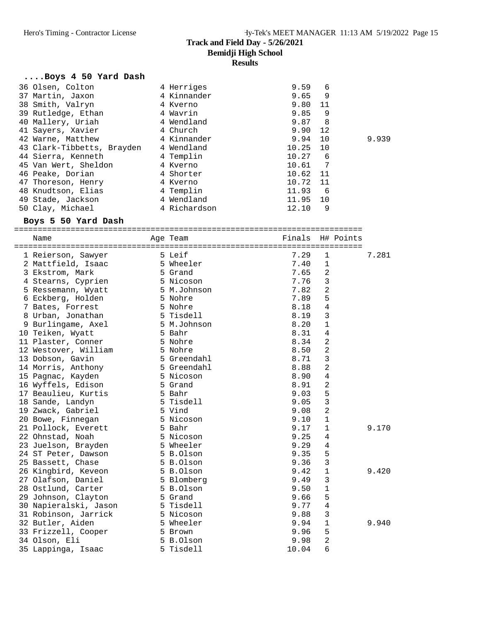#### **....Boys 4 50 Yard Dash**

| 36 Olsen, Colton           | 4 Herriges   | 9.59<br>6               |       |
|----------------------------|--------------|-------------------------|-------|
| 37 Martin, Jaxon           | 4 Kinnander  | 9<br>9.65               |       |
| 38 Smith, Valryn           | 4 Kverno     | 9.80<br>-11             |       |
| 39 Rutledge, Ethan         | 4 Wavrin     | 9.85<br>9               |       |
| 40 Mallery, Uriah          | 4 Wendland   | 9.87<br>8               |       |
| 41 Sayers, Xavier          | 4 Church     | 9.90<br>12              |       |
| 42 Warne, Matthew          | 4 Kinnander  | 9.94<br>10              | 9.939 |
| 43 Clark-Tibbetts, Brayden | 4 Wendland   | 10.25<br>10             |       |
| 44 Sierra, Kenneth         | 4 Templin    | 10.27<br>6              |       |
| 45 Van Wert, Sheldon       | 4 Kverno     | $\overline{7}$<br>10.61 |       |
| 46 Peake, Dorian           | 4 Shorter    | 10.62 11                |       |
| 47 Thoreson, Henry         | 4 Kverno     | 11<br>10.72             |       |
| 48 Knudtson, Elias         | 4 Templin    | 11.93<br>6              |       |
| 49 Stade, Jackson          | 4 Wendland   | 10<br>11.95             |       |
| 50 Clay, Michael           | 4 Richardson | 12.10<br>9              |       |

#### **Boys 5 50 Yard Dash**

#### ==========================================================================

| Name                  | Age Team    | Finals | H# Points      |       |
|-----------------------|-------------|--------|----------------|-------|
| 1 Reierson, Sawyer    | 5 Leif      | 7.29   | $\mathbf{1}$   | 7.281 |
| 2 Mattfield, Isaac    | 5 Wheeler   | 7.40   | $\mathbf{1}$   |       |
| 3 Ekstrom, Mark       | 5 Grand     | 7.65   | $\overline{2}$ |       |
| 4 Stearns, Cyprien    | 5 Nicoson   | 7.76   | $\mathbf{3}$   |       |
| 5 Ressemann, Wyatt    | 5 M.Johnson | 7.82   | $\overline{2}$ |       |
| 6 Eckberg, Holden     | 5 Nohre     | 7.89   | 5              |       |
| 7 Bates, Forrest      | 5 Nohre     | 8.18   | $\overline{4}$ |       |
| 8 Urban, Jonathan     | 5 Tisdell   | 8.19   | $\mathbf{3}$   |       |
| 9 Burlingame, Axel    | 5 M.Johnson | 8.20   | $\mathbf{1}$   |       |
| 10 Teiken, Wyatt      | 5 Bahr      | 8.31   | $\overline{4}$ |       |
| 11 Plaster, Conner    | 5 Nohre     | 8.34   | $\overline{2}$ |       |
| 12 Westover, William  | 5 Nohre     | 8.50   | $\overline{2}$ |       |
| 13 Dobson, Gavin      | 5 Greendahl | 8.71   | 3              |       |
| 14 Morris, Anthony    | 5 Greendahl | 8.88   | $\overline{2}$ |       |
| 15 Pagnac, Kayden     | 5 Nicoson   | 8.90   | $\overline{4}$ |       |
| 16 Wyffels, Edison    | 5 Grand     | 8.91   | $\overline{2}$ |       |
| 17 Beaulieu, Kurtis   | 5 Bahr      | 9.03   | 5              |       |
| 18 Sande, Landyn      | 5 Tisdell   | 9.05   | $\mathbf{3}$   |       |
| 19 Zwack, Gabriel     | 5 Vind      | 9.08   | $\overline{2}$ |       |
| 20 Bowe, Finnegan     | 5 Nicoson   | 9.10   | $\mathbf{1}$   |       |
| 21 Pollock, Everett   | 5 Bahr      | 9.17   | $\mathbf{1}$   | 9.170 |
| 22 Ohnstad, Noah      | 5 Nicoson   | 9.25   | 4              |       |
| 23 Juelson, Brayden   | 5 Wheeler   | 9.29   | 4              |       |
| 24 ST Peter, Dawson   | 5 B.Olson   | 9.35   | 5              |       |
| 25 Bassett, Chase     | 5 B.Olson   | 9.36   | 3              |       |
| 26 Kingbird, Keveon   | 5 B.Olson   | 9.42   | $\mathbf{1}$   | 9.420 |
| 27 Olafson, Daniel    | 5 Blomberg  | 9.49   | 3              |       |
| 28 Ostlund, Carter    | 5 B.Olson   | 9.50   | $\mathbf{1}$   |       |
| 29 Johnson, Clayton   | 5 Grand     | 9.66   | 5              |       |
| 30 Napieralski, Jason | 5 Tisdell   | 9.77   | $\overline{4}$ |       |
| 31 Robinson, Jarrick  | 5 Nicoson   | 9.88   | 3              |       |
| 32 Butler, Aiden      | 5 Wheeler   | 9.94   | $\mathbf{1}$   | 9.940 |
| 33 Frizzell, Cooper   | 5 Brown     | 9.96   | 5              |       |
| 34 Olson, Eli         | 5 B.Olson   | 9.98   | 2              |       |
| 35 Lappinga, Isaac    | 5 Tisdell   | 10.04  | 6              |       |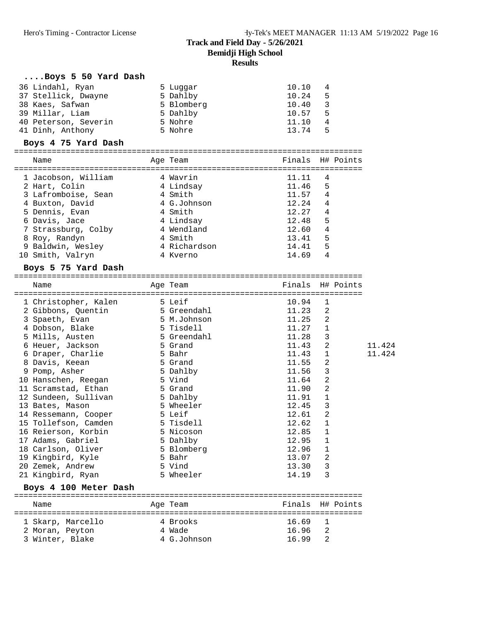| Boys 5 50 Yard Dash<br>36 Lindahl, Ryan<br>37 Stellick, Dwayne<br>5 Dahlby<br>38 Kaes, Safwan<br>39 Millar, Liam<br>40 Peterson, Severin | 5 Luggar<br>5 Blomberg<br>5 Dahlby<br>5 Nohre | 10.10<br>10.24<br>10.40<br>10.57<br>11.10 | 4<br>5<br>3<br>5<br>4 |  |
|------------------------------------------------------------------------------------------------------------------------------------------|-----------------------------------------------|-------------------------------------------|-----------------------|--|
| 41 Dinh, Anthony                                                                                                                         | 5 Nohre                                       | 13.74                                     | 5                     |  |
| Boys 4 75 Yard Dash                                                                                                                      |                                               |                                           |                       |  |
| Name                                                                                                                                     | Age Team                                      | Finals H# Points                          |                       |  |
| 1 Jacobson, William                                                                                                                      | 4 Wavrin                                      | 11.11                                     | 4                     |  |
| 2 Hart, Colin                                                                                                                            | 4 Lindsay                                     | 11.46                                     | 5                     |  |
| 3 Lafromboise, Sean                                                                                                                      | 4 Smith                                       | 11.57                                     | 4                     |  |
| 4 Buxton, David                                                                                                                          | 4 G.Johnson                                   | 12.24                                     | $\overline{4}$        |  |
| 5 Dennis, Evan                                                                                                                           | 4 Smith                                       | 12.27                                     | 4                     |  |
| 6 Davis, Jace                                                                                                                            | 4 Lindsay                                     | 12.48                                     | 5                     |  |
| 7 Strassburg, Colby                                                                                                                      | 4 Wendland                                    | 12.60                                     | 4                     |  |
| 8 Roy, Randyn                                                                                                                            | 4 Smith                                       | 13.41                                     | 5                     |  |
| 9 Baldwin, Wesley                                                                                                                        | 4 Richardson                                  | 14.41                                     | 5                     |  |
| 10 Smith, Valryn                                                                                                                         | 4 Kverno                                      | 14.69                                     | 4                     |  |
| Boys 5 75 Yard Dash                                                                                                                      |                                               |                                           |                       |  |
|                                                                                                                                          |                                               |                                           |                       |  |

| Name<br>============================ | Age Team    | Finals | H# Points      |        |
|--------------------------------------|-------------|--------|----------------|--------|
| 5 Leif<br>1 Christopher, Kalen       |             | 10.94  | 1              |        |
| 2 Gibbons, Quentin                   | 5 Greendahl | 11.23  | 2              |        |
| 3 Spaeth, Evan                       | 5 M.Johnson | 11.25  | 2              |        |
| 4 Dobson, Blake                      | 5 Tisdell   | 11.27  | 1              |        |
| 5 Mills, Austen                      | 5 Greendahl | 11.28  | 3              |        |
| 6 Heuer, Jackson                     | 5 Grand     | 11.43  | $\overline{2}$ | 11.424 |
| 6 Draper, Charlie                    | 5 Bahr      | 11.43  | 1              | 11.424 |
| 8 Davis, Keean                       | 5 Grand     | 11.55  | $\overline{a}$ |        |
| 9 Pomp, Asher                        | 5 Dahlby    | 11.56  | 3              |        |
| 10 Hanschen, Reegan                  | 5 Vind      | 11.64  | $\overline{2}$ |        |
| 11 Scramstad, Ethan                  | 5 Grand     | 11.90  | $\overline{2}$ |        |
| 12 Sundeen, Sullivan                 | 5 Dahlby    | 11.91  | $\mathbf 1$    |        |
| 13 Bates, Mason                      | 5 Wheeler   | 12.45  | 3              |        |
| 14 Ressemann, Cooper                 | 5 Leif      | 12.61  | 2              |        |
| 15 Tollefson, Camden                 | 5 Tisdell   | 12.62  | $\mathbf 1$    |        |
| 16 Reierson, Korbin                  | 5 Nicoson   | 12.85  | $\mathbf{1}$   |        |
| 17 Adams, Gabriel                    | 5 Dahlby    | 12.95  | $\mathbf{1}$   |        |
| 18 Carlson, Oliver                   | 5 Blomberg  | 12.96  | 1              |        |
| 19 Kingbird, Kyle                    | 5 Bahr      | 13.07  | 2              |        |
| 20 Zemek, Andrew                     | 5 Vind      | 13.30  | 3              |        |
| 21 Kingbird, Ryan                    | 5 Wheeler   | 14.19  | 3              |        |
| Boys 4 100 Meter Dash                |             |        |                |        |
| Name                                 | Age Team    | Finals | H# Points      |        |

 Name Age Team Finals H# Points ========================================================================== 1 Skarp, Marcello 4 Brooks 16.69 1 2 Moran, Peyton 4 Wade 16.96 2 3 Winter, Blake 4 G.Johnson 16.99 2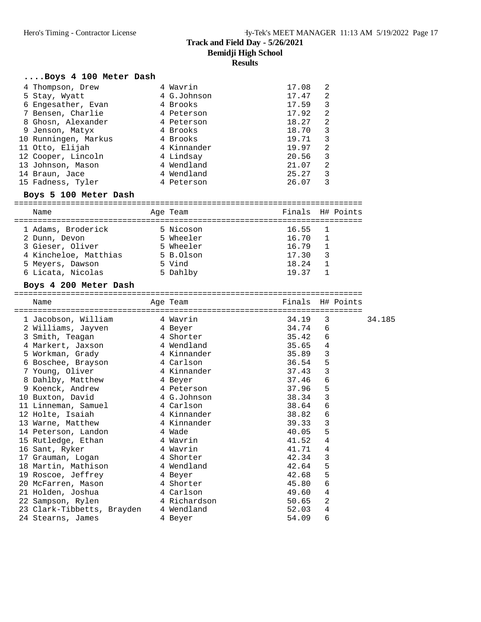#### **....Boys 4 100 Meter Dash**

| 4 Thompson, Drew     | 4 Wavrin    | 17.08 | 2 |
|----------------------|-------------|-------|---|
| 5 Stay, Wyatt        | 4 G.Johnson | 17.47 | 2 |
| 6 Engesather, Evan   | 4 Brooks    | 17.59 | 3 |
| 7 Bensen, Charlie    | 4 Peterson  | 17.92 | 2 |
| 8 Ghosn, Alexander   | 4 Peterson  | 18.27 | 2 |
| 9 Jenson, Matyx      | 4 Brooks    | 18.70 | 3 |
| 10 Runningen, Markus | 4 Brooks    | 19.71 | 3 |
| 11 Otto, Elijah      | 4 Kinnander | 19.97 | 2 |
| 12 Cooper, Lincoln   | 4 Lindsay   | 20.56 | 3 |
| 13 Johnson, Mason    | 4 Wendland  | 21.07 | 2 |
| 14 Braun, Jace       | 4 Wendland  | 25.27 | 3 |
| 15 Fadness, Tyler    | 4 Peterson  | 26.07 | 3 |

#### **Boys 5 100 Meter Dash**

| Name                  |  | Age Team  |             | Finals H# Points |  |  |  |  |  |  |
|-----------------------|--|-----------|-------------|------------------|--|--|--|--|--|--|
|                       |  |           |             |                  |  |  |  |  |  |  |
| 1 Adams, Broderick    |  | 5 Nicoson | $16.55 - 1$ |                  |  |  |  |  |  |  |
| 2 Dunn, Devon         |  | 5 Wheeler | 16.70       | $\overline{1}$   |  |  |  |  |  |  |
| 3 Gieser, Oliver      |  | 5 Wheeler | 16.79       |                  |  |  |  |  |  |  |
| 4 Kincheloe, Matthias |  | 5 B.Olson | 17.30       | 3                |  |  |  |  |  |  |
| 5 Meyers, Dawson      |  | 5 Vind    | 18.24       |                  |  |  |  |  |  |  |
| 6 Licata, Nicolas     |  | 5 Dahlby  | 19.37       |                  |  |  |  |  |  |  |

#### **Boys 4 200 Meter Dash**

|  | Name                                      |  | Age Team                   |       | Finals H# Points |        |
|--|-------------------------------------------|--|----------------------------|-------|------------------|--------|
|  |                                           |  | :========================= |       |                  |        |
|  | 1 Jacobson, William 1 Wavrin              |  |                            | 34.19 | 3                | 34.185 |
|  | 2 Williams, Jayven 4 Beyer                |  |                            | 34.74 | 6                |        |
|  | 3 Smith, Teagan 1 4 Shorter               |  |                            | 35.42 | 6                |        |
|  | 4 Markert, Jaxson 4 Wendland              |  |                            | 35.65 | 4                |        |
|  | 5 Workman, Grady 6 4 Kinnander            |  |                            | 35.89 | $\mathbf{3}$     |        |
|  | 6 Boschee, Brayson                        |  | 4 Carlson                  | 36.54 | 5                |        |
|  | 7 Young, Oliver                           |  | 4 Kinnander                | 37.43 | 3                |        |
|  | 8 Dahlby, Matthew                         |  | 4 Beyer                    | 37.46 | 6                |        |
|  | 9 Koenck, Andrew                          |  | 4 Peterson                 | 37.96 | 5                |        |
|  | 10 Buxton, David 1 G.Johnson              |  |                            | 38.34 | 3                |        |
|  | 11 Linneman, Samuel                       |  | 4 Carlson                  | 38.64 | 6                |        |
|  | 12 Holte, Isaiah                          |  | 4 Kinnander                | 38.82 | 6                |        |
|  | 13 Warne, Matthew 4 Kinnander             |  |                            | 39.33 | 3                |        |
|  | 14 Peterson, Landon                       |  | 4 Wade                     | 40.05 | 5                |        |
|  | 15 Rutledge, Ethan 15 4 Wavrin            |  |                            | 41.52 | 4                |        |
|  | 16 Sant, Ryker                            |  | 4 Wavrin                   | 41.71 | 4                |        |
|  | 17 Grauman, Loqan                         |  | 4 Shorter                  | 42.34 | 3                |        |
|  | 18 Martin, Mathison                       |  | 4 Wendland                 | 42.64 | 5                |        |
|  | 19 Roscoe, Jeffrey                        |  | 4 Beyer                    | 42.68 | 5                |        |
|  | 20 McFarren, Mason                        |  | 4 Shorter                  | 45.80 | 6                |        |
|  | 21 Holden, Joshua               4 Carlson |  |                            | 49.60 | 4                |        |
|  | 22 Sampson, Rylen                         |  | 4 Richardson               | 50.65 | $\overline{2}$   |        |
|  | 23 Clark-Tibbetts, Brayden                |  | 4 Wendland                 | 52.03 | 4                |        |
|  | 24 Stearns, James                         |  | 4 Beyer                    | 54.09 | 6                |        |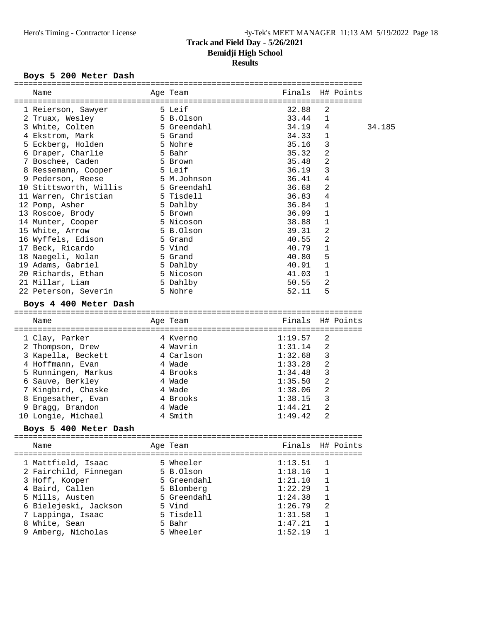# Boys 5 200 Meter Dash

| Name                                          | Age Team              |                                      | Finals H# Points |        |
|-----------------------------------------------|-----------------------|--------------------------------------|------------------|--------|
| 1 Reierson, Sawyer                            | 5 Leif                | 32.88                                | 2                |        |
| 2 Truax, Wesley                               | 5 B.Olson             | 33.44                                | 1                |        |
| 3 White, Colten                               | 5 Greendahl           | 34.19                                | 4                | 34.185 |
| 4 Ekstrom, Mark                               | 5 Grand               | 34.33                                | $\mathbf{1}$     |        |
| 5 Eckberg, Holden                             | 5 Nohre               | 35.16                                | 3                |        |
| 6 Draper, Charlie                             | 5 Bahr                | 35.32                                | 2                |        |
| 7 Boschee, Caden                              | 5 Brown               | 35.48                                | 2                |        |
| 8 Ressemann, Cooper                           | 5 Leif                | 36.19                                | 3                |        |
| 9 Pederson, Reese                             | 5 M.Johnson           | 36.41                                | 4                |        |
| 10 Stittsworth, Willis                        | 5 Greendahl           | 36.68                                | 2                |        |
| 11 Warren, Christian                          | 5 Tisdell             | 36.83                                | 4                |        |
| 12 Pomp, Asher                                | 5 Dahlby              | 36.84                                | 1                |        |
| 13 Roscoe, Brody                              | 5 Brown               | 36.99                                | 1                |        |
| 14 Munter, Cooper                             | 5 Nicoson             | 38.88                                | 1                |        |
| 15 White, Arrow                               | 5 B.Olson             | 39.31                                | 2                |        |
| 16 Wyffels, Edison                            | 5 Grand               | 40.55                                | 2                |        |
| 17 Beck, Ricardo                              | 5 Vind                | 40.79                                | $\mathbf{1}$     |        |
| 18 Naegeli, Nolan                             | 5 Grand               | 40.80                                | 5                |        |
| 19 Adams, Gabriel                             | 5 Dahlby              | 40.91                                | 1                |        |
| 20 Richards, Ethan                            | 5 Nicoson             | 41.03                                | 1                |        |
| 21 Millar, Liam                               | 5 Dahlby              | 50.55                                | 2                |        |
| 22 Peterson, Severin                          | 5 Nohre               | 52.11                                | 5                |        |
| Boys 4 400 Meter Dash                         |                       |                                      |                  |        |
|                                               |                       |                                      |                  |        |
|                                               |                       |                                      |                  |        |
| Name<br>-------------------<br>============== | Age Team              | Finals                               | H# Points        |        |
| 1 Clay, Parker                                | 4 Kverno              | =========================<br>1:19.57 | 2                |        |
| 2 Thompson, Drew                              |                       | 1:31.14                              | 2                |        |
| 3 Kapella, Beckett                            | 4 Wavrin<br>4 Carlson | 1:32.68                              | 3                |        |
| 4 Hoffmann, Evan                              | 4 Wade                | 1:33.28                              | 2                |        |
|                                               | 4 Brooks              | 1:34.48                              | 3                |        |
| 5 Runningen, Markus                           | 4 Wade                | 1:35.50                              | $\overline{a}$   |        |
| 6 Sauve, Berkley<br>7 Kingbird, Chaske        | 4 Wade                | 1:38.06                              | 2                |        |
|                                               |                       | 1:38.15                              | 3                |        |
| 8 Engesather, Evan                            | 4 Brooks<br>4 Wade    | 1:44.21                              | 2                |        |
| 9 Bragg, Brandon                              | 4 Smith               | 1:49.42                              | 2                |        |
| 10 Longie, Michael<br>Boys 5 400 Meter Dash   |                       |                                      |                  |        |
|                                               |                       |                                      |                  |        |
| Name                                          | Age Team              |                                      | Finals H# Points |        |
|                                               |                       |                                      | ==============   |        |
| 1 Mattfield, Isaac                            | 5 Wheeler             | 1:13.51                              | 1                |        |
| 2 Fairchild, Finnegan                         | 5 B.Olson             | 1:18.16                              | $\mathbf 1$      |        |
| 3 Hoff, Kooper                                | 5 Greendahl           | 1:21.10                              | 1                |        |
| 4 Baird, Callen                               | 5 Blomberg            | 1:22.29                              | $\mathbf{1}$     |        |
| 5 Mills, Austen                               | 5 Greendahl           | 1:24.38                              | 1                |        |
| 6 Bielejeski, Jackson                         | 5 Vind                | 1:26.79                              | 2                |        |
| 7 Lappinga, Isaac                             | 5 Tisdell             | 1:31.58                              | 1                |        |
| 8 White, Sean<br>9 Amberg, Nicholas           | 5 Bahr<br>5 Wheeler   | 1:47.21<br>1:52.19                   | 1<br>1           |        |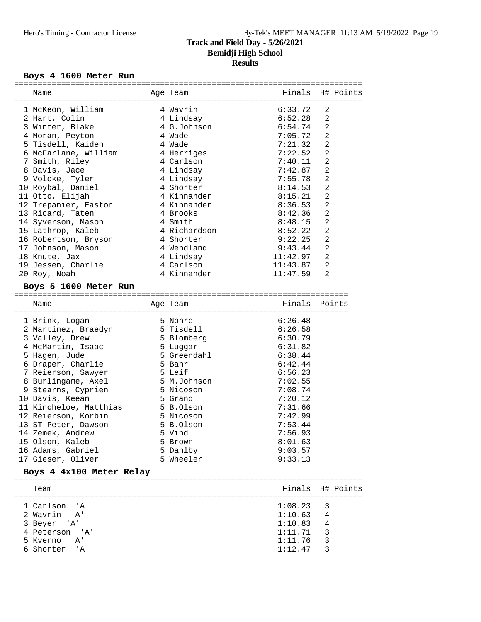# **Results**

#### Boys 4 1600 Meter Run

| Name                          | Age Team     | Finals        | H# Points      |
|-------------------------------|--------------|---------------|----------------|
| 1 McKeon, William             | 4 Wavrin     | 6:33.72       | 2              |
| 2 Hart, Colin                 | 4 Lindsay    | 6:52.28       | $\overline{2}$ |
| 3 Winter, Blake               | 4 G.Johnson  | 6:54.74       | $\overline{2}$ |
| 4 Moran, Peyton               | 4 Wade       | 7:05.72       | $\overline{a}$ |
| 5 Tisdell, Kaiden             | 4 Wade       | 7:21.32       | $\overline{2}$ |
| 6 McFarlane, William          | 4 Herriges   | 7:22.52       | $\overline{2}$ |
| 7 Smith, Riley                | 4 Carlson    | 7:40.11       | $\mathbf{2}$   |
| 8 Davis, Jace                 | 4 Lindsay    | 7:42.87       | $\overline{2}$ |
| 9 Volcke, Tyler               | 4 Lindsay    | 7:55.78       | $\overline{2}$ |
| 10 Roybal, Daniel             | 4 Shorter    | 8:14.53       | $\overline{2}$ |
| 11 Otto, Elijah               | 4 Kinnander  | 8:15.21       | $\overline{2}$ |
| 12 Trepanier, Easton          | 4 Kinnander  | 8:36.53       | $\overline{2}$ |
| 13 Ricard, Taten              | 4 Brooks     | 8:42.36       | $\overline{2}$ |
| 14 Syverson, Mason            | 4 Smith      | 8:48.15       | $\overline{2}$ |
| 15 Lathrop, Kaleb             | 4 Richardson | 8:52.22       | $\overline{2}$ |
| 16 Robertson, Bryson          | 4 Shorter    | 9:22.25       | $\overline{2}$ |
| 17 Johnson, Mason             | 4 Wendland   | 9:43.44       | $\overline{2}$ |
| 18 Knute, Jax                 | 4 Lindsay    | 11:42.97      | $\overline{2}$ |
| 19 Jessen, Charlie            | 4 Carlson    | 11:43.87      | 2              |
| 20 Roy, Noah                  | 4 Kinnander  | 11:47.59      | $\overline{2}$ |
| Boys 5 1600 Meter Run         |              |               |                |
|                               |              |               |                |
| Name                          | Age Team     | Finals Points |                |
| 1 Brink, Logan                | 5 Nohre      | 6:26.48       |                |
| 2 Martinez, Braedyn 5 Tisdell |              | 6:26.58       |                |
| 3 Valley, Drew                | 5 Blomberg   | 6:30.79       |                |
| 4 McMartin, Isaac             | 5 Luggar     | 6:31.82       |                |
| 5 Hagen, Jude                 | 5 Greendahl  | 6:38.44       |                |
| 6 Draper, Charlie             | 5 Bahr       | 6:42.44       |                |
| 7 Reierson, Sawyer            | 5 Leif       | 6:56.23       |                |
| 8 Burlingame, Axel            | 5 M.Johnson  | 7:02.55       |                |
| 9 Stearns, Cyprien            | 5 Nicoson    | 7:08.74       |                |
| 10 Davis, Keean               | 5 Grand      | 7:20.12       |                |
| 11 Kincheloe, Matthias        | 5 B.Olson    | 7:31.66       |                |
| 12 Reierson, Korbin           | 5 Nicoson    | 7:42.99       |                |
| 13 ST Peter, Dawson           | 5 B.Olson    | 7:53.44       |                |

 14 Zemek, Andrew 5 Vind 7:56.93 15 Olson, Kaleb 5 Brown 8:01.63 16 Adams, Gabriel 5 Dahlby 9:03.57 17 Gieser, Oliver 5 Wheeler 9:33.13

========================================================================== Team Finals H# Points ==========================================================================

 1 Carlson 'A' 1:08.23 3 2 Wavrin 'A' 1:10.63 4

 4 Peterson 'A' 1:11.71 3 5 Kverno 'A' 1:11.76 3 6 Shorter 'A' 1:12.47 3

**Boys 4 4x100 Meter Relay**

3 Beyer 'A'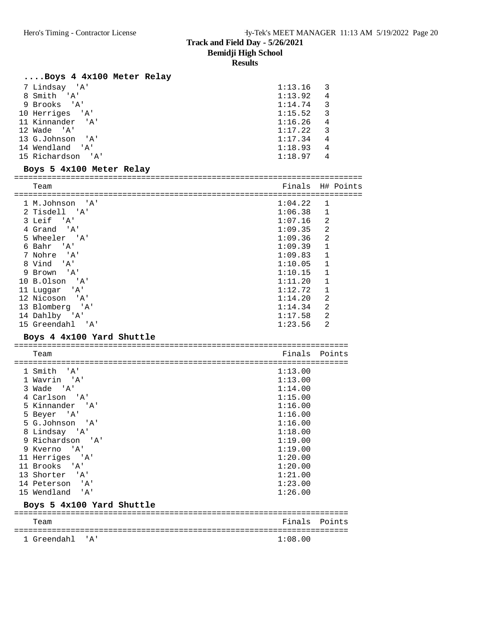**Results**

# **....Boys 4 4x100 Meter Relay**

| 1 Greendahl<br>' A '        | 1:08.00            |                |
|-----------------------------|--------------------|----------------|
| Team                        | Finals             | Points         |
| Boys 5 4x100 Yard Shuttle   |                    |                |
| 15 Wendland<br>' A '        | 1:26.00            |                |
| 14 Peterson<br>'' A '       | 1:23.00            |                |
| 13 Shorter<br>' A '         | 1:21.00            |                |
| 11 Brooks<br>'' A '         | 1:20.00            |                |
| 11 Herriges 'A'             | 1:20.00            |                |
| 9 Kverno<br>'A'             | 1:19.00            |                |
| 9 Richardson<br>' A '       | 1:19.00            |                |
| 8 Lindsay 'A'               | 1:18.00            |                |
| 5 G.Johnson<br>'A'          | 1:16.00            |                |
| 5 Beyer 'A'                 | 1:16.00            |                |
| 5 Kinnander<br>. 'A'        | 1:16.00            |                |
| 4 Carlson 'A'               | 1:15.00            |                |
| 3 Wade 'A'                  | 1:14.00            |                |
| 1 Smith 'A'<br>1 Wavrin 'A' | 1:13.00<br>1:13.00 |                |
|                             |                    |                |
| Team                        | Finals             | Points         |
| Boys 4 4x100 Yard Shuttle   |                    |                |
| 15 Greendahl 'A'            | 1:23.56            | $\mathfrak{D}$ |
| 14 Dahlby 'A'               | 1:17.58            | 2              |
| 13 Blomberg 'A'             | 1:14.34            | 2              |
| 12 Nicoson 'A'              | 1:14.20            | 2              |
| 11 Luggar 'A'               | 1:12.72            | 1              |
| 10 B.Olson 'A'              | 1:11.20            | $\mathbf{1}$   |
| 9 Brown 'A'                 | 1:10.15            | $\mathbf{1}$   |
| 8 Vind 'A'                  | 1:10.05            | $\mathbf{1}$   |
| 7 Nohre 'A'                 | 1:09.83            | 1              |
| 6 Bahr<br>' A '             | 1:09.39            | $\mathbf{1}$   |
| 5 Wheeler 'A'               | 1:09.36            | 2              |
| 4 Grand 'A'                 | 1:09.35            | 2              |
| 3 Leif 'A'                  | 1:07.16            | $\overline{2}$ |
| 2 Tisdell 'A'               | 1:06.38            | $\mathbf{1}$   |
| 1 M.Johnson 'A'             | 1:04.22            | 1              |
| Team                        | Finals             | H# Points      |
| Boys 5 4x100 Meter Relay    |                    |                |
| 15 Richardson 'A'           | 1:18.97            | 4              |
| 14 Wendland 'A'             | 1:18.93            | 4              |
| 13 G.Johnson<br>' A '       | 1:17.34            | 4              |
| 12 Wade 'A'                 | 1:17.22            | 3              |
| 11 Kinnander<br>' A '       | 1:16.26            | $\overline{4}$ |
| 10 Herriges 'A'             | 1:15.52            | 3              |
| 9 Brooks 'A'                | 1:14.74            | 3              |
| 8 Smith 'A'                 | 1:13.92            | 4              |
| 7 Lindsay 'A'               | 1:13.16            | 3              |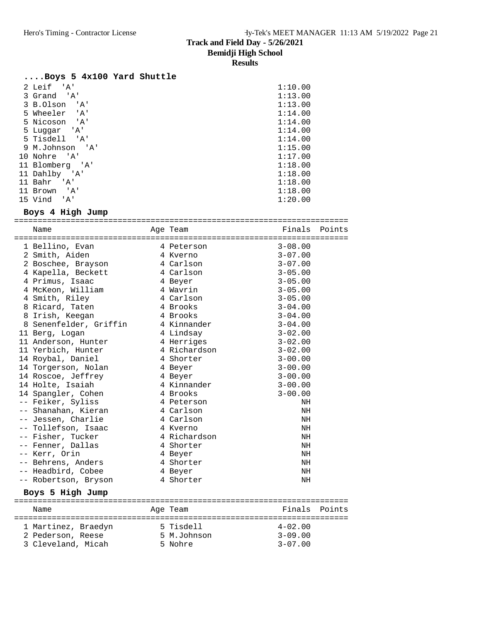**Results**

#### **....Boys 5 4x100 Yard Shuttle**

| 2 Leif<br>' A'            | 1:10.00 |
|---------------------------|---------|
| 3 Grand 'A'               | 1:13.00 |
| 3 B.Olson<br>' A '        | 1:13.00 |
| 5 Wheeler<br>$\mathsf{A}$ | 1:14.00 |
| 5 Nicoson<br>' A '        | 1:14.00 |
| 5 Luqqar 'A'              | 1:14.00 |
| 5 Tisdell 'A'             | 1:14.00 |
| 9 M.Johnson 'A'           | 1:15.00 |
| 10 Nohre 'A'              | 1:17.00 |
| 11 Blomberg 'A'           | 1:18.00 |
| 11 Dahlby 'A'             | 1:18.00 |
| 11 Bahr<br>' A '          | 1:18.00 |
| ' A '<br>11 Brown         | 1:18.00 |
| 15 Vind<br>' A'           | 1:20.00 |

# **Boys 4 High Jump**

| Name                   | Age Team     | Finals      | Points |
|------------------------|--------------|-------------|--------|
|                        |              |             |        |
| 1 Bellino, Evan        | 4 Peterson   | $3 - 08.00$ |        |
| 2 Smith, Aiden         | 4 Kverno     | $3 - 07.00$ |        |
| 2 Boschee, Brayson     | 4 Carlson    | $3 - 07.00$ |        |
| 4 Kapella, Beckett     | 4 Carlson    | $3 - 05.00$ |        |
| 4 Primus, Isaac        | 4 Beyer      | $3 - 05.00$ |        |
| 4 McKeon, William      | 4 Wavrin     | $3 - 05.00$ |        |
| 4 Smith, Riley         | 4 Carlson    | $3 - 05.00$ |        |
| 8 Ricard, Taten        | 4 Brooks     | $3 - 04.00$ |        |
| 8 Irish, Keegan        | 4 Brooks     | $3 - 04.00$ |        |
| 8 Senenfelder, Griffin | 4 Kinnander  | $3 - 04.00$ |        |
| 11 Berg, Logan         | 4 Lindsay    | $3 - 02.00$ |        |
| 11 Anderson, Hunter    | 4 Herriges   | $3 - 02.00$ |        |
| 11 Yerbich, Hunter     | 4 Richardson | $3 - 02.00$ |        |
| 14 Roybal, Daniel      | 4 Shorter    | $3 - 00.00$ |        |
| 14 Torgerson, Nolan    | 4 Beyer      | $3 - 00.00$ |        |
| 14 Roscoe, Jeffrey     | 4 Beyer      | $3 - 00.00$ |        |
| 14 Holte, Isaiah       | 4 Kinnander  | $3 - 00.00$ |        |
| 14 Spangler, Cohen     | 4 Brooks     | $3 - 00.00$ |        |
| -- Feiker, Syliss      | 4 Peterson   | ΝH          |        |
| -- Shanahan, Kieran    | 4 Carlson    | NH          |        |
| -- Jessen, Charlie     | 4 Carlson    | NH          |        |
| -- Tollefson, Isaac    | 4 Kverno     | NH          |        |
| -- Fisher, Tucker      | 4 Richardson | NH          |        |
| -- Fenner, Dallas      | 4 Shorter    | NH          |        |
| -- Kerr, Orin          | 4 Beyer      | NH          |        |
| -- Behrens, Anders     | 4 Shorter    | NH          |        |
| -- Headbird, Cobee     | 4 Beyer      | NH          |        |
| -- Robertson, Bryson   | 4 Shorter    | NH          |        |
|                        |              |             |        |
| Boys 5 High Jump       |              |             |        |
| Name                   | Age Team     | Finals      | Points |
|                        |              |             |        |
| 1 Martinez, Braedyn    | 5 Tisdell    | $4 - 02.00$ |        |
| 2 Pederson, Reese      | 5 M.Johnson  | $3 - 09.00$ |        |
| 3 Cleveland, Micah     | 5 Nohre      | $3 - 07.00$ |        |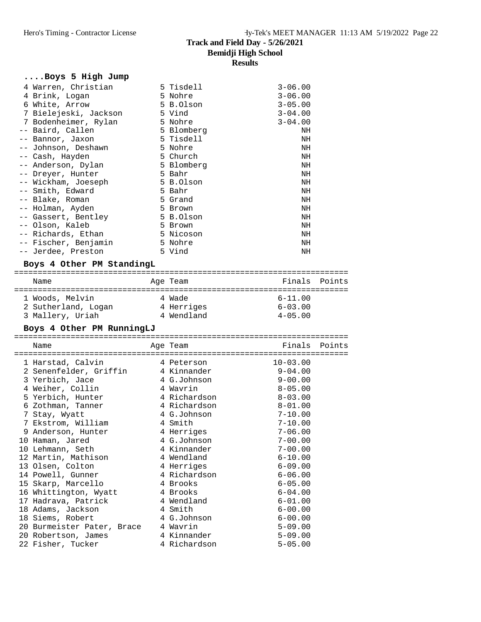| Boys 5 High Jump      |            |             |
|-----------------------|------------|-------------|
| 4 Warren, Christian   | 5 Tisdell  | $3 - 06.00$ |
| 4 Brink, Logan        | 5 Nohre    | $3 - 06.00$ |
| 6 White, Arrow        | 5 B.Olson  | $3 - 05.00$ |
| 7 Bielejeski, Jackson | 5 Vind     | $3 - 04.00$ |
| 7 Bodenheimer, Rylan  | 5 Nohre    | $3 - 04.00$ |
| -- Baird, Callen      | 5 Blomberg | NH          |
| -- Bannor, Jaxon      | 5 Tisdell  | NH          |
| -- Johnson, Deshawn   | 5 Nohre    | NH          |
| -- Cash, Hayden       | 5 Church   | NH          |
| -- Anderson, Dylan    | 5 Blomberg | NH          |
| -- Dreyer, Hunter     | 5 Bahr     | NH          |
| -- Wickham, Joeseph   | 5 B.Olson  | NH          |
| -- Smith, Edward      | 5 Bahr     | NH          |
| -- Blake, Roman       | 5 Grand    | NH          |
| -- Holman, Ayden      | 5 Brown    | NH          |
| -- Gassert, Bentley   | 5 B.Olson  | NH          |
| -- Olson, Kaleb       | 5 Brown    | NH          |
| -- Richards, Ethan    | 5 Nicoson  | NH          |
| -- Fischer, Benjamin  | 5 Nohre    | NH          |
| -- Jerdee, Preston    | 5 Vind     | NH          |

# **Boys 4 Other PM StandingL**

| Name |                                                            | Age Team                           | Finals Points                             |  |
|------|------------------------------------------------------------|------------------------------------|-------------------------------------------|--|
|      | 1 Woods, Melvin<br>2 Sutherland, Logan<br>3 Mallery, Uriah | 4 Wade<br>4 Herriges<br>4 Wendland | $6 - 11.00$<br>$6 - 03.00$<br>$4 - 05.00$ |  |

### **Boys 4 Other PM RunningLJ**

| =====================               |                               |               |  |
|-------------------------------------|-------------------------------|---------------|--|
| Name                                | Age Team<br>================= | Finals Points |  |
| 1 Harstad, Calvin 1 Peterson        |                               | $10 - 03.00$  |  |
| 2 Senenfelder, Griffin 14 Kinnander |                               | $9 - 04.00$   |  |
| 3 Yerbich, Jace                     | 4 G.Johnson                   | $9 - 00.00$   |  |
| 4 Weiher, Collin                    | 4 Wavrin                      | $8 - 05.00$   |  |
| 5 Yerbich, Hunter 5 4 Richardson    |                               | $8 - 03.00$   |  |
| 6 Zothman, Tanner 1 4 Richardson    |                               | $8 - 01.00$   |  |
| 7 Stay, Wyatt                       | 4 G.Johnson                   | $7 - 10.00$   |  |
| 7 Ekstrom, William 1 Smith          |                               | $7 - 10.00$   |  |
| 9 Anderson, Hunter                  | 4 Herriges                    | $7 - 06.00$   |  |
| 10 Haman, Jared                     | 4 G.Johnson                   | $7 - 00.00$   |  |
| 10 Lehmann, Seth                    | 4 Kinnander                   | $7 - 00.00$   |  |
| 12 Martin, Mathison 4 Wendland      |                               | $6 - 10.00$   |  |
| 13 Olsen, Colton                    | 4 Herriges                    | $6 - 09.00$   |  |
| 14 Powell, Gunner                   | 4 Richardson                  | $6 - 06.00$   |  |
| 15 Skarp, Marcello                  | 4 Brooks                      | $6 - 05.00$   |  |
| 16 Whittington, Wyatt 18 Prooks     |                               | $6 - 04.00$   |  |
| 17 Hadrava, Patrick 1 Mendland      |                               | $6 - 01.00$   |  |
| 18 Adams, Jackson 4 Smith           |                               | $6 - 00.00$   |  |
| 18 Siems, Robert 18 4 G.Johnson     |                               | $6 - 00.00$   |  |
| 20 Burmeister Pater, Brace 4 Wavrin |                               | $5 - 09.00$   |  |
| 20 Robertson, James 6 4 Kinnander   |                               | $5 - 09.00$   |  |
| 22 Fisher, Tucker 1 4 Richardson    |                               | $5 - 05.00$   |  |
|                                     |                               |               |  |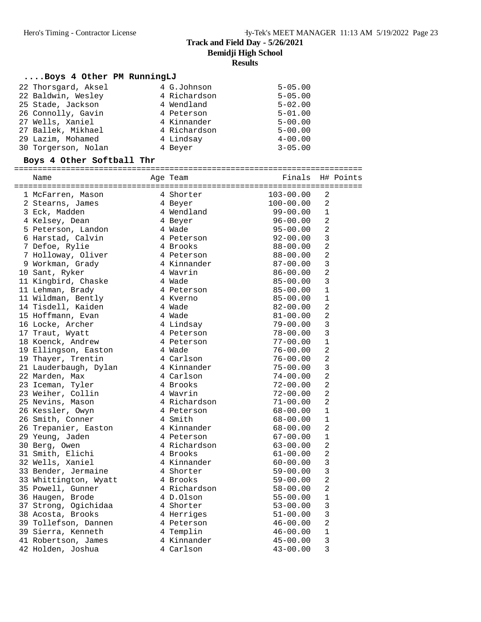# **....Boys 4 Other PM RunningLJ**

| 22 Thorsgard, Aksel | 4 G.Johnson  | $5 - 05.00$ |
|---------------------|--------------|-------------|
| 22 Baldwin, Wesley  | 4 Richardson | $5 - 05.00$ |
| 25 Stade, Jackson   | 4 Wendland   | $5 - 02.00$ |
| 26 Connolly, Gavin  | 4 Peterson   | $5 - 01.00$ |
| 27 Wells, Xaniel    | 4 Kinnander  | $5 - 00.00$ |
| 27 Ballek, Mikhael  | 4 Richardson | $5 - 00.00$ |
| 29 Lazim, Mohamed   | 4 Lindsay    | $4 - 00.00$ |
| 30 Torgerson, Nolan | 4 Beyer      | $3 - 05.00$ |

#### **Boys 4 Other Softball Thr**

| Name                                         | Aqe Team                 | Finals H# Points |                |  |
|----------------------------------------------|--------------------------|------------------|----------------|--|
|                                              |                          |                  |                |  |
| 1 McFarren, Mason                            | 4 Shorter<br>4 Beyer     | 103-00.00        | $\sqrt{2}$     |  |
| 2 Stearns, James                             |                          | 100-00.00        | 2              |  |
| 3 Eck, Madden                                | 4 Wendland               | $99 - 00.00$     | $\mathbf 1$    |  |
| 4 Kelsey, Dean                               | 4 Beyer                  | $96 - 00.00$     | $\overline{a}$ |  |
| 5 Peterson, Landon                           | 4 Wade                   | $95 - 00.00$     | $\overline{a}$ |  |
| 6 Harstad, Calvin                            | 4 Peterson               | $92 - 00.00$     | 3              |  |
| 7 Defoe, Rylie                               | 4 Brooks                 | $88 - 00.00$     | $\overline{a}$ |  |
| 7 Holloway, Oliver                           | 4 Peterson               | $88 - 00.00$     | $\overline{a}$ |  |
| 9 Workman, Grady                             | 4 Kinnander              | 87-00.00         | 3              |  |
| 10 Sant, Ryker                               | 4 Wavrin                 | $86 - 00.00$     | $\overline{c}$ |  |
| 11 Kingbird, Chaske                          | 4 Wade                   | $85 - 00.00$     | 3              |  |
| 11 Lehman, Brady                             | 4 Peterson               | $85 - 00.00$     | 1              |  |
| 11 Wildman, Bently                           | 4 Kverno                 | $85 - 00.00$     | $\mathbf{1}$   |  |
| 14 Tisdell, Kaiden                           | 4 Wade                   | $82 - 00.00$     | $\overline{a}$ |  |
| 15 Hoffmann, Evan                            | 4 Wade                   | $81 - 00.00$     | $\overline{a}$ |  |
| 16 Locke, Archer                             | 4 Lindsay                | $79 - 00.00$     | 3              |  |
| 17 Traut, Wyatt                              | 4 Peterson               | $78 - 00.00$     | 3              |  |
| 18 Koenck, Andrew                            | 4 Peterson               | $77 - 00.00$     | $\mathbf{1}$   |  |
| 19 Ellingson, Easton                         | 4 Wade                   | $76 - 00.00$     | $\overline{a}$ |  |
| 19 Thayer, Trentin                           | 4 Carlson                | $76 - 00.00$     | $\overline{a}$ |  |
| 21 Lauderbaugh, Dylan                        | 4 Kinnander              | $75 - 00.00$     | 3              |  |
| 22 Marden, Max                               | 4 Carlson                | $74 - 00.00$     | $\overline{a}$ |  |
| 23 Iceman, Tyler                             | 4 Brooks                 | $72 - 00.00$     | $\overline{a}$ |  |
| 23 Weiher, Collin                            |                          | 72-00.00         | $\overline{a}$ |  |
| 25 Nevins, Mason                             | 4 Wavrin<br>4 Richardson | $71 - 00.00$     | $\overline{2}$ |  |
| 26 Kessler, Owyn                             | 4 Peterson               | $68 - 00.00$     | 1              |  |
| 26 Smith, Conner                             | 4 Smith                  | $68 - 00.00$     | $\mathbf{1}$   |  |
|                                              | 4 Kinnander              | 68-00.00         | $\overline{a}$ |  |
| -<br>26 Trepanier, Easton<br>29 Yeung, Jaden | 4 Peterson               | $67 - 00.00$     | 1              |  |
| 30 Berg, Owen                                | 4 Richardson             | $63 - 00.00$     | $\overline{a}$ |  |
| u bery, Uwen<br>31 Smith, Elichi             | 4 Richard<br>4 Brooks    | $61 - 00.00$     | $\overline{a}$ |  |
| 32 Wells, Xaniel                             | 4 Kinnander              | $60 - 00.00$     | 3              |  |
| 33 Bender, Jermaine                          | 4 Shorter                | $59 - 00.00$     | 3              |  |
| 33 Whittington, Wyatt                        | 4 Brooks                 | $59 - 00.00$     | $\sqrt{2}$     |  |
| 35 Powell, Gunner                            | 4 Richardson             | $58 - 00.00$     | $\overline{a}$ |  |
| 36 Haugen, Brode                             | 4 D.Olson                | $55 - 00.00$     | $1\,$          |  |
| 37 Strong, Ogichidaa                         | 4 Shorter                | $53 - 00.00$     | 3              |  |
| 38 Acosta, Brooks                            | 4 Herriges               | $51 - 00.00$     | 3              |  |
| 39 Tollefson, Dannen                         | 4 Peterson               | 46-00.00         | $\overline{a}$ |  |
| 39 Sierra, Kenneth                           | 4 Templin                | $46 - 00.00$     | $\mathbf 1$    |  |
|                                              | 4 Kinnander              |                  | 3              |  |
| 41 Robertson, James                          |                          | $45 - 00.00$     |                |  |
| 42 Holden, Joshua                            | 4 Carlson                | $43 - 00.00$     | 3              |  |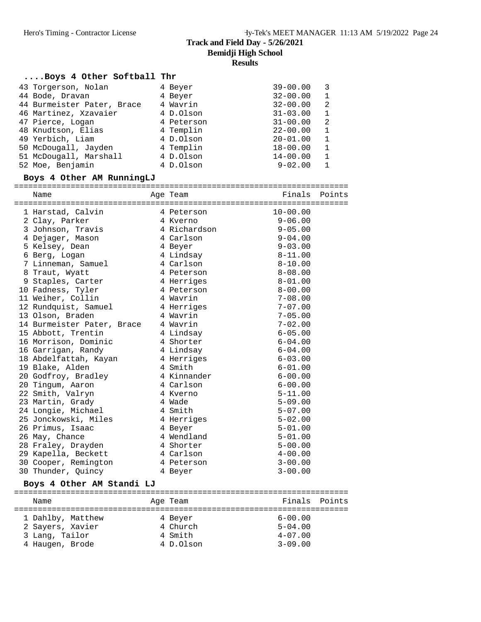#### **....Boys 4 Other Softball Thr**

| 43 Torgerson, Nolan        | 4 Beyer    | $39 - 00.00$ | 3            |
|----------------------------|------------|--------------|--------------|
| 44 Bode, Dravan            | 4 Beyer    | $32 - 00.00$ | $\mathbf{1}$ |
| 44 Burmeister Pater, Brace | 4 Wavrin   | $32 - 00.00$ | 2            |
| 46 Martinez, Xzavaier      | 4 D.Olson  | $31 - 03.00$ | $\mathbf{1}$ |
| 47 Pierce, Logan           | 4 Peterson | $31 - 00.00$ | 2            |
| 48 Knudtson, Elias         | 4 Templin  | $22 - 00.00$ | $\mathbf 1$  |
| 49 Yerbich, Liam           | 4 D.Olson  | $20 - 01.00$ | $\mathbf{1}$ |
| 50 McDougall, Jayden       | 4 Templin  | $18 - 00.00$ | 1            |
| 51 McDougall, Marshall     | 4 D.Olson  | $14 - 00.00$ | $\mathbf{1}$ |
| 52 Moe, Benjamin           | 4 D.Olson  | $9 - 02.00$  |              |

# **Boys 4 Other AM RunningLJ**

| Name                       | Age Team     | Finals       | Points |
|----------------------------|--------------|--------------|--------|
|                            |              |              |        |
| 1 Harstad, Calvin          | 4 Peterson   | $10 - 00.00$ |        |
| 2 Clay, Parker             | 4 Kverno     | $9 - 06.00$  |        |
| 3 Johnson, Travis          | 4 Richardson | $9 - 05.00$  |        |
| 4 Dejager, Mason           | 4 Carlson    | $9 - 04.00$  |        |
| 5 Kelsey, Dean             | 4 Beyer      | $9 - 03.00$  |        |
| 6 Berg, Logan              | 4 Lindsay    | $8 - 11.00$  |        |
| 7 Linneman, Samuel         | 4 Carlson    | $8 - 10.00$  |        |
| 8 Traut, Wyatt             | 4 Peterson   | $8 - 08.00$  |        |
| 9 Staples, Carter          | 4 Herriges   | $8 - 01.00$  |        |
| 10 Fadness, Tyler          | 4 Peterson   | $8 - 00.00$  |        |
| 11 Weiher, Collin          | 4 Wavrin     | $7 - 08.00$  |        |
| 12 Rundquist, Samuel       | 4 Herriges   | $7 - 07.00$  |        |
| 13 Olson, Braden           | 4 Wavrin     | $7 - 05.00$  |        |
| 14 Burmeister Pater, Brace | 4 Wavrin     | $7 - 02.00$  |        |
| 15 Abbott, Trentin         | 4 Lindsay    | $6 - 05.00$  |        |
| 16 Morrison, Dominic       | 4 Shorter    | $6 - 04.00$  |        |
| 16 Garrigan, Randy         | 4 Lindsay    | $6 - 04.00$  |        |
| 18 Abdelfattah, Kayan      | 4 Herriges   | $6 - 03.00$  |        |
| 19 Blake, Alden            | 4 Smith      | $6 - 01.00$  |        |
| 20 Godfroy, Bradley        | 4 Kinnander  | $6 - 00.00$  |        |
| 20 Tingum, Aaron           | 4 Carlson    | $6 - 00.00$  |        |
| 22 Smith, Valryn           | 4 Kverno     | $5 - 11.00$  |        |
| 23 Martin, Grady           | 4 Wade       | $5 - 09.00$  |        |
| 24 Longie, Michael         | 4 Smith      | $5 - 07.00$  |        |
| 25 Jonckowski, Miles       | 4 Herriges   | $5 - 02.00$  |        |
| 26 Primus, Isaac           | 4 Beyer      | $5 - 01.00$  |        |
| 26 May, Chance             | 4 Wendland   | $5 - 01.00$  |        |
| 28 Fraley, Drayden         | 4 Shorter    | $5 - 00.00$  |        |
| 29 Kapella, Beckett        | 4 Carlson    | $4 - 00.00$  |        |
| 30 Cooper, Remington       | 4 Peterson   | $3 - 00.00$  |        |
| 30 Thunder, Quincy         | 4 Beyer      | $3 - 00.00$  |        |

#### **Boys 4 Other AM Standi LJ**

| Name              | Age Team  | Finals Points |  |
|-------------------|-----------|---------------|--|
| 1 Dahlby, Matthew | 4 Beyer   | $6 - 00.00$   |  |
| 2 Sayers, Xavier  | 4 Church  | $5 - 04.00$   |  |
| 3 Lang, Tailor    | 4 Smith   | $4 - 07.00$   |  |
| 4 Haugen, Brode   | 4 D.Olson | $3 - 09.00$   |  |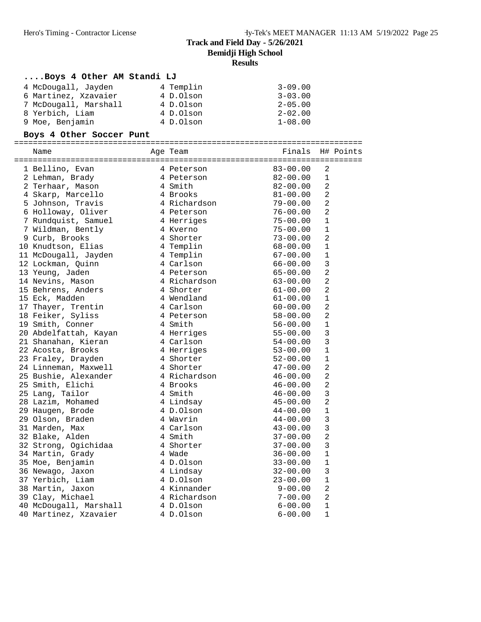# **....Boys 4 Other AM Standi LJ**

| 4 McDougall, Jayden   | 4 Templin | $3 - 09.00$ |
|-----------------------|-----------|-------------|
| 6 Martinez, Xzavaier  | 4 D.Olson | $3 - 03.00$ |
| 7 McDougall, Marshall | 4 D.Olson | $2 - 05.00$ |
| 8 Yerbich, Liam       | 4 D.Olson | $2 - 02.00$ |
| 9 Moe, Benjamin       | 4 D.Olson | $1 - 08.00$ |

# **Boys 4 Other Soccer Punt**

| Name                             | Age Team     | Finals       |                | H# Points |
|----------------------------------|--------------|--------------|----------------|-----------|
| 1 Bellino, Evan                  | 4 Peterson   | $83 - 00.00$ | 2              |           |
| 2 Lehman, Brady                  | 4 Peterson   | $82 - 00.00$ | $\mathbf{1}$   |           |
| 2 Terhaar, Mason                 | 4 Smith      | $82 - 00.00$ | $\overline{2}$ |           |
| 4 Skarp, Marcello                | 4 Brooks     | $81 - 00.00$ | 2              |           |
| 5 Johnson, Travis                | 4 Richardson | $79 - 00.00$ | $\overline{2}$ |           |
| 6 Holloway, Oliver               | 4 Peterson   | $76 - 00.00$ | $\overline{2}$ |           |
| 7 Rundquist, Samuel              | 4 Herriges   | $75 - 00.00$ | $\mathbf 1$    |           |
| 7 Wildman, Bently                | 4 Kverno     | $75 - 00.00$ | $\mathbf 1$    |           |
| 9 Curb, Brooks                   | 4 Shorter    | $73 - 00.00$ | $\overline{2}$ |           |
| 10 Knudtson, Elias               | 4 Templin    | $68 - 00.00$ | $\mathbf{1}$   |           |
| 11 McDougall, Jayden             | 4 Templin    | $67 - 00.00$ | $\mathbf 1$    |           |
| 12 Lockman, Quinn                | 4 Carlson    | $66 - 00.00$ | 3              |           |
| 13 Yeung, Jaden                  | 4 Peterson   | $65 - 00.00$ | $\overline{2}$ |           |
| 14 Nevins, Mason                 | 4 Richardson | $63 - 00.00$ | $\overline{2}$ |           |
| 15 Behrens, Anders               | 4 Shorter    | $61 - 00.00$ | $\overline{2}$ |           |
| 15 Eck, Madden                   | 4 Wendland   | $61 - 00.00$ | $\mathbf{1}$   |           |
| 17 Thayer, Trentin               | 4 Carlson    | $60 - 00.00$ | $\overline{2}$ |           |
| 18 Feiker, Syliss                | 4 Peterson   | $58 - 00.00$ | $\overline{2}$ |           |
| 19 Smith, Conner                 | 4 Smith      | $56 - 00.00$ | $\mathbf 1$    |           |
| 20 Abdelfattah, Kayan            | 4 Herriges   | $55 - 00.00$ | $\overline{3}$ |           |
| 21 Shanahan, Kieran              | 4 Carlson    | $54 - 00.00$ | 3              |           |
| 22 Acosta, Brooks                | 4 Herriges   | $53 - 00.00$ | $\mathbf 1$    |           |
| 23 Fraley, Drayden               | 4 Shorter    | $52 - 00.00$ | $\mathbf{1}$   |           |
| 24 Linneman, Maxwell             | 4 Shorter    | $47 - 00.00$ | $\overline{2}$ |           |
| 25 Bushie, Alexander             | 4 Richardson | $46 - 00.00$ | $\overline{a}$ |           |
| 25 Smith, Elichi                 | 4 Brooks     | $46 - 00.00$ | $\overline{2}$ |           |
| 25 Lang, Tailor                  | 4 Smith      | $46 - 00.00$ | $\overline{3}$ |           |
| 28 Lazim, Mohamed                | 4 Lindsay    | $45 - 00.00$ | $\overline{2}$ |           |
| 29 Haugen, Brode                 | 4 D.Olson    | $44 - 00.00$ | $1\,$          |           |
| 29 Olson, Braden                 | 4 Wavrin     | $44 - 00.00$ | 3              |           |
| 31 Marden, Max                   | 4 Carlson    | $43 - 00.00$ | 3              |           |
| 32 Blake, Alden                  | 4 Smith      | $37 - 00.00$ | $\overline{a}$ |           |
| 32 Strong, Ogichidaa             | 4 Shorter    | $37 - 00.00$ | 3              |           |
| 34 Martin, Grady                 | 4 Wade       | $36 - 00.00$ | $\mathbf 1$    |           |
| 35 Moe, Benjamin                 | 4 D.Olson    | $33 - 00.00$ | $\mathbf 1$    |           |
| 36 Newago, Jaxon                 | 4 Lindsay    | $32 - 00.00$ | 3              |           |
| 37 Yerbich, Liam                 | 4 D.Olson    | $23 - 00.00$ | $1\,$          |           |
| 38 Martin, Jaxon                 | 4 Kinnander  | $9 - 00.00$  | $\overline{2}$ |           |
| 39 Clay, Michael                 | 4 Richardson | $7 - 00.00$  | 2              |           |
| 40 McDougall, Marshall 4 D.Olson |              | $6 - 00.00$  | $\mathbf{1}$   |           |
| 40 Martinez, Xzavaier            | 4 D.Olson    | $6 - 00.00$  | 1              |           |
|                                  |              |              |                |           |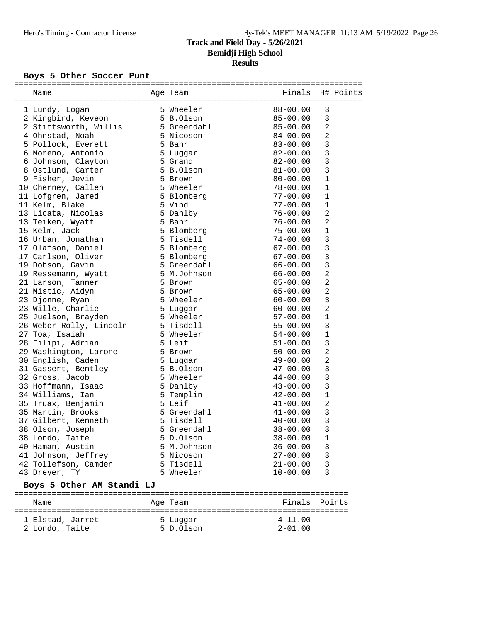# **Bemidji High School**

# **Results**

#### Boys 5 Other Soccer Punt

| Name                              | Age Team               | Finals       | H# Points      |
|-----------------------------------|------------------------|--------------|----------------|
|                                   |                        |              |                |
| 1 Lundy, Logan                    | 5 Wheeler<br>5 B.Olson | $88 - 00.00$ | 3              |
| 2 Kingbird, Keveon                |                        | $85 - 00.00$ | 3              |
| 2 Stittsworth, Willis 5 Greendahl |                        | $85 - 00.00$ | 2              |
| 4 Ohnstad, Noah                   | 5 Nicoson              | $84 - 00.00$ | 2              |
| 5 Pollock, Everett                | 5 Bahr                 | $83 - 00.00$ | 3              |
| 6 Moreno, Antonio                 | 5 Luggar               | $82 - 00.00$ | 3              |
| 6 Johnson, Clayton                | 5 Grand                | $82 - 00.00$ | 3              |
| 8 Ostlund, Carter                 | 5 B.Olson              | $81 - 00.00$ | 3              |
| 9 Fisher, Jevin                   | 5 Brown                | $80 - 00.00$ | $\mathbf 1$    |
| 10 Cherney, Callen                | 5 Wheeler              | $78 - 00.00$ | $\mathbf 1$    |
| 11 Lofgren, Jared                 | 5 Blomberg             | $77 - 00.00$ | $\mathbf 1$    |
| 11 Kelm, Blake                    | 5 Vind                 | $77 - 00.00$ | $\mathbf{1}$   |
| 13 Licata, Nicolas                | 5 Dahlby               | $76 - 00.00$ | $\overline{a}$ |
| 13 Teiken, Wyatt                  | 5 Bahr                 | $76 - 00.00$ | $\overline{a}$ |
| 15 Kelm, Jack                     | 5 Blomberg             | $75 - 00.00$ | $\mathbf 1$    |
| 16 Urban, Jonathan                | 5 Tisdell              | $74 - 00.00$ | 3              |
|                                   |                        |              |                |
| 17 Olafson, Daniel                | 5 Blomberg             | $67 - 00.00$ | $\mathsf 3$    |
| 17 Carlson, Oliver                | 5 Blomberg             | $67 - 00.00$ | 3              |
| 19 Dobson, Gavin                  | 5 Greendahl            | $66 - 00.00$ | 3              |
| 19 Ressemann, Wyatt               | 5 M.Johnson            | $66 - 00.00$ | $\overline{a}$ |
| 21 Larson, Tanner                 | 5 Brown                | $65 - 00.00$ | $\overline{a}$ |
| 21 Mistic, Aidyn                  | 5 Brown                | $65 - 00.00$ | $\overline{a}$ |
| 23 Djonne, Ryan                   | 5 Wheeler              | $60 - 00.00$ | 3              |
| 23 Wille, Charlie                 | 5 Luggar               | $60 - 00.00$ | $\overline{a}$ |
| 25 Juelson, Brayden               | 5 Wheeler              | $57 - 00.00$ | $\mathbf{1}$   |
| 26 Weber-Rolly, Lincoln           | 5 Tisdell              | $55 - 00.00$ | 3              |
| 27 Toa, Isaiah                    | 5 Wheeler              | $54 - 00.00$ | $\mathbf 1$    |
| 28 Filipi, Adrian                 | 5 Leif                 | $51 - 00.00$ | 3              |
| 29 Washington, Larone             | 5 Brown                | $50 - 00.00$ | $\overline{a}$ |
| 30 English, Caden                 | 5 Luggar               | $49 - 00.00$ | $\overline{a}$ |
| 31 Gassert, Bentley               | 5 B.Olson              | $47 - 00.00$ | 3              |
| 32 Gross, Jacob                   | 5 Wheeler              | $44 - 00.00$ | 3              |
| 33 Hoffmann, Isaac                | 5 Dahlby               | $43 - 00.00$ | 3              |
| 34 Williams, Ian                  | 5 Templin              | $42 - 00.00$ | $\mathbf 1$    |
| 35 Truax, Benjamin                | 5 Leif                 | $41 - 00.00$ | $\sqrt{2}$     |
| 35 Martin, Brooks                 | 5 Greendahl            | $41 - 00.00$ | 3              |
| 37 Gilbert, Kenneth               | 5 Tisdell              | $40 - 00.00$ | 3              |
| 38 Olson, Joseph                  | 5 Greendahl            | $38 - 00.00$ | 3              |
| 38 Londo, Taite                   | 5 D.Olson              | $38 - 00.00$ | 1              |
| 40 Haman, Austin                  | 5 M.Johnson            | $36 - 00.00$ | 3              |
| 41 Johnson, Jeffrey               | 5 Nicoson              | $27 - 00.00$ | 3              |
| 42 Tollefson, Camden              | 5 Tisdell              | $21 - 00.00$ | 3              |
| 43 Dreyer, TY                     | 5 Wheeler              | $10 - 00.00$ | 3              |
|                                   |                        |              |                |
| Boys 5 Other AM Standi LJ         |                        |              |                |
| Name                              | Age Team               | Finals       | Points         |
| 1 Elstad, Jarret                  | 5 Luggar               | $4 - 11.00$  |                |

2 Londo, Taite 5 D.Olson 2-01.00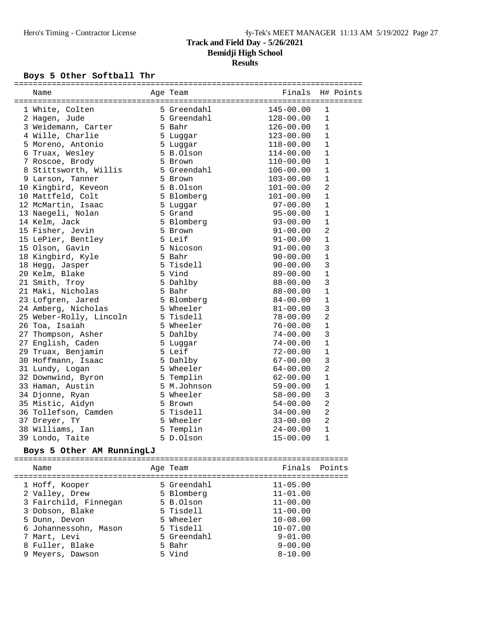# Boys 5 Other Softball Thr

| Name                                                                                      | Age Team                           | Finals               | H# Points      |  |
|-------------------------------------------------------------------------------------------|------------------------------------|----------------------|----------------|--|
| 1 White, Colten                                                                           |                                    | 145-00.00            | $\mathbf{1}$   |  |
| 2 Hagen, Jude                                                                             | 5 Greendahl<br>5 Greendahl         | 128-00.00            | $\mathbf{1}$   |  |
| 3 Weidemann, Carter 5 Bahr                                                                |                                    | 126-00.00            | $\mathbf{1}$   |  |
| 4 Wille, Charlie                                                                          | 5 Luggar                           | $123 - 00.00$        | $\mathbf{1}$   |  |
| 5 Moreno, Antonio                                                                         | 5 Luggar                           | $118 - 00.00$        | 1              |  |
|                                                                                           |                                    | $114 - 00.00$        | $\mathbf{1}$   |  |
| 6 Truax, Wesley 5 B.Olson<br>7 Roscoe, Brody 5 Brown<br>8 Stittsworth, Willis 5 Greendahl |                                    | $110 - 00.00$        | $\mathbf 1$    |  |
|                                                                                           |                                    | $106 - 00.00$        | $\mathbf{1}$   |  |
| 9 Larson, Tanner                                                                          | 5 Brown                            | $103 - 00.00$        | $\mathbf{1}$   |  |
| 10 Kingbird, Keveon                                                                       | 5 B.Olson                          | $101 - 00.00$        | $\overline{2}$ |  |
| 10 Mattfeld, Colt                                                                         | 5 Blomberg                         | $101 - 00.00$        | 1              |  |
| 12 McMartin, Isaac                                                                        |                                    |                      | $\mathbf{1}$   |  |
| --<br>13 Naegeli, Nolan                                                                   | 5 Luggar<br>5 Grand<br>5 Blomberg  | 97-00.00<br>95-00.00 | $\mathbf{1}$   |  |
| 14 Kelm, Jack                                                                             |                                    | $93 - 00.00$         | $\mathbf{1}$   |  |
| 15 Fisher, Jevin                                                                          | 5 Brown                            | 91-00.00             | 2              |  |
| 15 LePier, Bentley                                                                        | 5 Leif                             | $91 - 00.00$         | $\mathbf{1}$   |  |
| 15 Olson, Gavin                                                                           | 5 Nicoson                          | $91 - 00.00$         | 3              |  |
| 18 Kingbird, Kyle                                                                         | 5 Bahr                             | $90 - 00.00$         | $\mathbf 1$    |  |
| 18 Hegg, Jasper                                                                           | 5 Tisdell                          | $90 - 00.00$         | 3              |  |
| 20 Kelm, Blake                                                                            | 5 Vind                             | $89 - 00.00$         | $\mathbf{1}$   |  |
| 21 Smith, Troy                                                                            | 5 Dahlby                           | $88 - 00.00$         | 3              |  |
| 5 Bahr<br>21 Maki, Nicholas                                                               |                                    | $88 - 00.00$         | $\mathbf{1}$   |  |
| 23 Lofgren, Jared                                                                         | 5 Blomberg                         | $84 - 00.00$         | $\mathbf{1}$   |  |
| 24 Amberg, Nicholas                                                                       | 5 Wheeler                          | $81 - 00.00$         | 3              |  |
| 25 Weber-Rolly, Lincoln                                                                   | 5 Tisdell<br>-                     | $78 - 00.00$         | $\overline{2}$ |  |
| 26 Toa, Isaiah                                                                            | 5 Wheeler                          | $76 - 00.00$         | $\mathbf{1}$   |  |
| 27 Thompson, Asher                                                                        | 5 Dahlby                           | $74 - 00.00$         | 3              |  |
| 27 English, Caden                                                                         | 5 Luqqar                           | $74 - 00.00$         | $\mathbf{1}$   |  |
| 29 Truax, Benjamin                                                                        | 5 Leif                             | $72 - 00.00$         | $\mathbf{1}$   |  |
| 30 Hoffmann, Isaac                                                                        |                                    | $67 - 00.00$         | 3              |  |
| 31 Lundy, Logan                                                                           |                                    | $64 - 00.00$         | $\overline{2}$ |  |
| 32 Downwind, Byron                                                                        | 5 Dahlby<br>5 Wheeler<br>5 Templin | $62 - 00.00$         | $\mathbf{1}$   |  |
| 33 Haman, Austin                                                                          | 5 M.Johnson                        | $59 - 00.00$         | $\mathbf 1$    |  |
| 34 Djonne, Ryan                                                                           | 5 Wheeler                          | $58 - 00.00$         | 3              |  |
| 35 Mistic, Aidyn                                                                          | 5 Brown                            | $54 - 00.00$         | $\overline{2}$ |  |
| 36 Tollefson, Camden                                                                      | 5 Tisdell                          | $34 - 00.00$         | $\overline{a}$ |  |
| 37 Dreyer, TY                                                                             | 5 Wheeler                          | $33 - 00.00$         | $\overline{2}$ |  |
| 38 Williams, Ian                                                                          | 5 Templin                          | $24 - 00.00$         | $\mathbf{1}$   |  |
| 39 Londo, Taite                                                                           | 5 D.Olson                          | $15 - 00.00$         | 1              |  |
|                                                                                           |                                    |                      |                |  |
| Boys 5 Other AM RunningLJ                                                                 |                                    |                      |                |  |
| Name                                                                                      | Age Team                           | Finals Points        |                |  |
|                                                                                           |                                    |                      |                |  |
| 1 Hoff, Kooper                                                                            | 5 Greendahl                        | $11 - 05.00$         |                |  |
| 2 Valley, Drew                                                                            | 5 Blomberg                         | $11 - 01.00$         |                |  |
| 3 Fairchild, Finnegan                                                                     | 5 B.Olson                          | $11 - 00.00$         |                |  |
| 3 Dobson, Blake                                                                           | 5 Tisdell                          | $11 - 00.00$         |                |  |
| 5 Dunn, Devon                                                                             | 5 Wheeler                          | $10 - 08.00$         |                |  |
| 6 Johannessohn, Mason                                                                     | 5 Tisdell                          | $10 - 07.00$         |                |  |
| 7 Mart, Levi                                                                              | 5 Greendahl                        | $9 - 01.00$          |                |  |
| 8 Fuller, Blake                                                                           | 5 Bahr                             | $9 - 00.00$          |                |  |
| 9 Meyers, Dawson                                                                          | 5 Vind                             | $8 - 10.00$          |                |  |